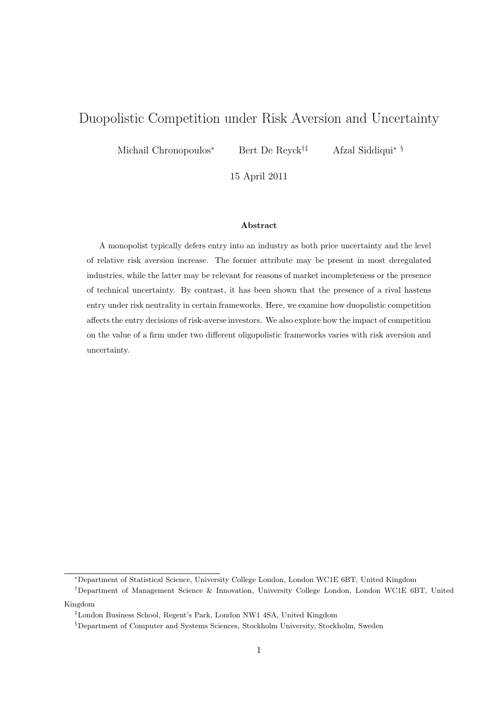# Duopolistic Competition under Risk Aversion and Uncertainty

Michail Chronopoulos<sup>∗</sup> Bert De Reyck<sup>†‡</sup>

Afzal Siddiqui<sup>∗§</sup>

15 April 2011

#### Abstract

A monopolist typically defers entry into an industry as both price uncertainty and the level of relative risk aversion increase. The former attribute may be present in most deregulated industries, while the latter may be relevant for reasons of market incompleteness or the presence of technical uncertainty. By contrast, it has been shown that the presence of a rival hastens entry under risk neutrality in certain frameworks. Here, we examine how duopolistic competition affects the entry decisions of risk-averse investors. We also explore how the impact of competition on the value of a firm under two different oligopolistic frameworks varies with risk aversion and uncertainty.

<sup>∗</sup>Department of Statistical Science, University College London, London WC1E 6BT, United Kingdom

<sup>†</sup>Department of Management Science & Innovation, University College London, London WC1E 6BT, United Kingdom

<sup>‡</sup>London Business School, Regent's Park, London NW1 4SA, United Kingdom

<sup>§</sup>Department of Computer and Systems Sciences, Stockholm University, Stockholm, Sweden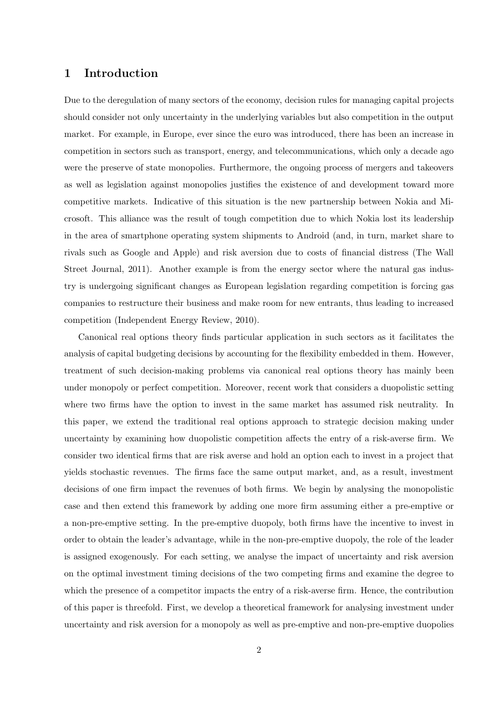### 1 Introduction

Due to the deregulation of many sectors of the economy, decision rules for managing capital projects should consider not only uncertainty in the underlying variables but also competition in the output market. For example, in Europe, ever since the euro was introduced, there has been an increase in competition in sectors such as transport, energy, and telecommunications, which only a decade ago were the preserve of state monopolies. Furthermore, the ongoing process of mergers and takeovers as well as legislation against monopolies justifies the existence of and development toward more competitive markets. Indicative of this situation is the new partnership between Nokia and Microsoft. This alliance was the result of tough competition due to which Nokia lost its leadership in the area of smartphone operating system shipments to Android (and, in turn, market share to rivals such as Google and Apple) and risk aversion due to costs of financial distress (The Wall Street Journal, 2011). Another example is from the energy sector where the natural gas industry is undergoing significant changes as European legislation regarding competition is forcing gas companies to restructure their business and make room for new entrants, thus leading to increased competition (Independent Energy Review, 2010).

Canonical real options theory finds particular application in such sectors as it facilitates the analysis of capital budgeting decisions by accounting for the flexibility embedded in them. However, treatment of such decision-making problems via canonical real options theory has mainly been under monopoly or perfect competition. Moreover, recent work that considers a duopolistic setting where two firms have the option to invest in the same market has assumed risk neutrality. In this paper, we extend the traditional real options approach to strategic decision making under uncertainty by examining how duopolistic competition affects the entry of a risk-averse firm. We consider two identical firms that are risk averse and hold an option each to invest in a project that yields stochastic revenues. The firms face the same output market, and, as a result, investment decisions of one firm impact the revenues of both firms. We begin by analysing the monopolistic case and then extend this framework by adding one more firm assuming either a pre-emptive or a non-pre-emptive setting. In the pre-emptive duopoly, both firms have the incentive to invest in order to obtain the leader's advantage, while in the non-pre-emptive duopoly, the role of the leader is assigned exogenously. For each setting, we analyse the impact of uncertainty and risk aversion on the optimal investment timing decisions of the two competing firms and examine the degree to which the presence of a competitor impacts the entry of a risk-averse firm. Hence, the contribution of this paper is threefold. First, we develop a theoretical framework for analysing investment under uncertainty and risk aversion for a monopoly as well as pre-emptive and non-pre-emptive duopolies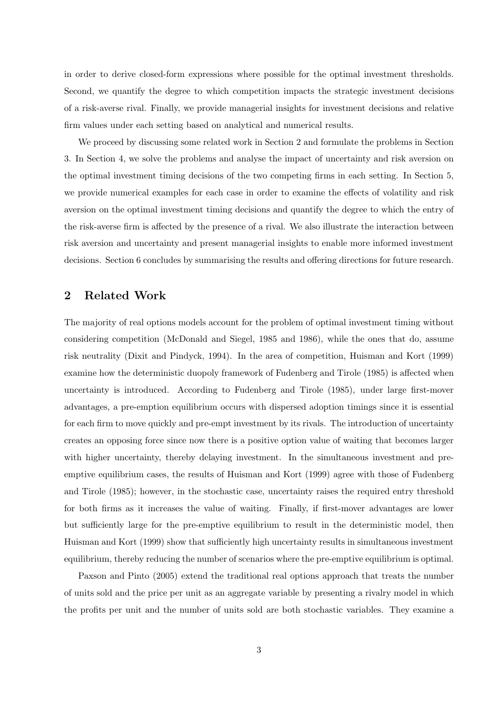in order to derive closed-form expressions where possible for the optimal investment thresholds. Second, we quantify the degree to which competition impacts the strategic investment decisions of a risk-averse rival. Finally, we provide managerial insights for investment decisions and relative firm values under each setting based on analytical and numerical results.

We proceed by discussing some related work in Section 2 and formulate the problems in Section 3. In Section 4, we solve the problems and analyse the impact of uncertainty and risk aversion on the optimal investment timing decisions of the two competing firms in each setting. In Section 5, we provide numerical examples for each case in order to examine the effects of volatility and risk aversion on the optimal investment timing decisions and quantify the degree to which the entry of the risk-averse firm is affected by the presence of a rival. We also illustrate the interaction between risk aversion and uncertainty and present managerial insights to enable more informed investment decisions. Section 6 concludes by summarising the results and offering directions for future research.

### 2 Related Work

The majority of real options models account for the problem of optimal investment timing without considering competition (McDonald and Siegel, 1985 and 1986), while the ones that do, assume risk neutrality (Dixit and Pindyck, 1994). In the area of competition, Huisman and Kort (1999) examine how the deterministic duopoly framework of Fudenberg and Tirole (1985) is affected when uncertainty is introduced. According to Fudenberg and Tirole (1985), under large first-mover advantages, a pre-emption equilibrium occurs with dispersed adoption timings since it is essential for each firm to move quickly and pre-empt investment by its rivals. The introduction of uncertainty creates an opposing force since now there is a positive option value of waiting that becomes larger with higher uncertainty, thereby delaying investment. In the simultaneous investment and preemptive equilibrium cases, the results of Huisman and Kort (1999) agree with those of Fudenberg and Tirole (1985); however, in the stochastic case, uncertainty raises the required entry threshold for both firms as it increases the value of waiting. Finally, if first-mover advantages are lower but sufficiently large for the pre-emptive equilibrium to result in the deterministic model, then Huisman and Kort (1999) show that sufficiently high uncertainty results in simultaneous investment equilibrium, thereby reducing the number of scenarios where the pre-emptive equilibrium is optimal.

Paxson and Pinto (2005) extend the traditional real options approach that treats the number of units sold and the price per unit as an aggregate variable by presenting a rivalry model in which the profits per unit and the number of units sold are both stochastic variables. They examine a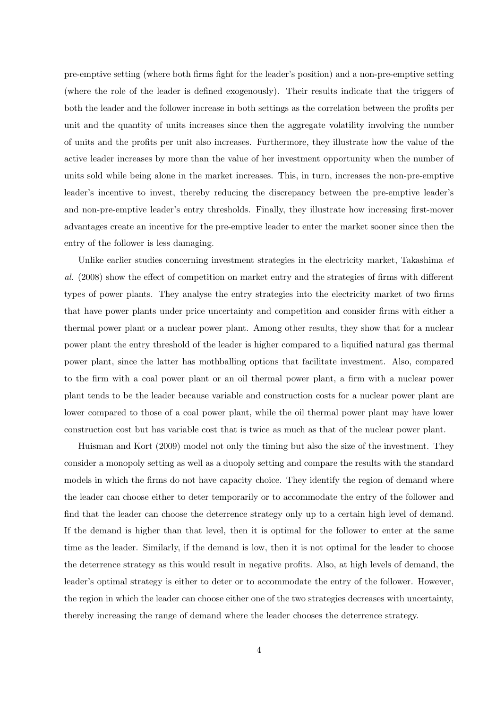pre-emptive setting (where both firms fight for the leader's position) and a non-pre-emptive setting (where the role of the leader is defined exogenously). Their results indicate that the triggers of both the leader and the follower increase in both settings as the correlation between the profits per unit and the quantity of units increases since then the aggregate volatility involving the number of units and the profits per unit also increases. Furthermore, they illustrate how the value of the active leader increases by more than the value of her investment opportunity when the number of units sold while being alone in the market increases. This, in turn, increases the non-pre-emptive leader's incentive to invest, thereby reducing the discrepancy between the pre-emptive leader's and non-pre-emptive leader's entry thresholds. Finally, they illustrate how increasing first-mover advantages create an incentive for the pre-emptive leader to enter the market sooner since then the entry of the follower is less damaging.

Unlike earlier studies concerning investment strategies in the electricity market, Takashima et al. (2008) show the effect of competition on market entry and the strategies of firms with different types of power plants. They analyse the entry strategies into the electricity market of two firms that have power plants under price uncertainty and competition and consider firms with either a thermal power plant or a nuclear power plant. Among other results, they show that for a nuclear power plant the entry threshold of the leader is higher compared to a liquified natural gas thermal power plant, since the latter has mothballing options that facilitate investment. Also, compared to the firm with a coal power plant or an oil thermal power plant, a firm with a nuclear power plant tends to be the leader because variable and construction costs for a nuclear power plant are lower compared to those of a coal power plant, while the oil thermal power plant may have lower construction cost but has variable cost that is twice as much as that of the nuclear power plant.

Huisman and Kort (2009) model not only the timing but also the size of the investment. They consider a monopoly setting as well as a duopoly setting and compare the results with the standard models in which the firms do not have capacity choice. They identify the region of demand where the leader can choose either to deter temporarily or to accommodate the entry of the follower and find that the leader can choose the deterrence strategy only up to a certain high level of demand. If the demand is higher than that level, then it is optimal for the follower to enter at the same time as the leader. Similarly, if the demand is low, then it is not optimal for the leader to choose the deterrence strategy as this would result in negative profits. Also, at high levels of demand, the leader's optimal strategy is either to deter or to accommodate the entry of the follower. However, the region in which the leader can choose either one of the two strategies decreases with uncertainty, thereby increasing the range of demand where the leader chooses the deterrence strategy.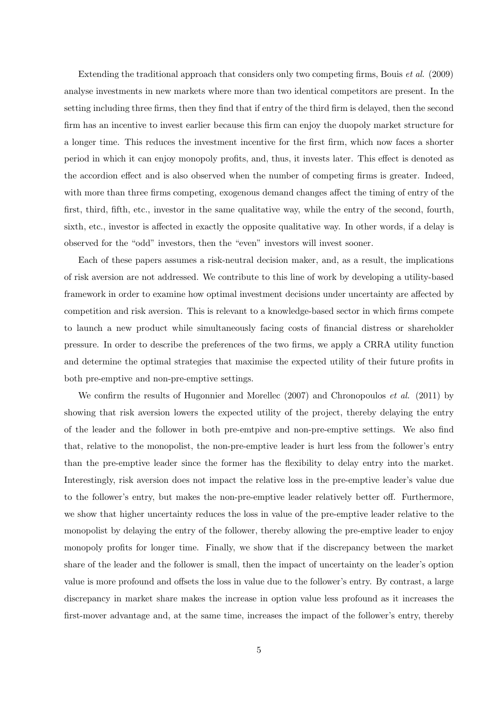Extending the traditional approach that considers only two competing firms, Bouis et al. (2009) analyse investments in new markets where more than two identical competitors are present. In the setting including three firms, then they find that if entry of the third firm is delayed, then the second firm has an incentive to invest earlier because this firm can enjoy the duopoly market structure for a longer time. This reduces the investment incentive for the first firm, which now faces a shorter period in which it can enjoy monopoly profits, and, thus, it invests later. This effect is denoted as the accordion effect and is also observed when the number of competing firms is greater. Indeed, with more than three firms competing, exogenous demand changes affect the timing of entry of the first, third, fifth, etc., investor in the same qualitative way, while the entry of the second, fourth, sixth, etc., investor is affected in exactly the opposite qualitative way. In other words, if a delay is observed for the "odd" investors, then the "even" investors will invest sooner.

Each of these papers assumes a risk-neutral decision maker, and, as a result, the implications of risk aversion are not addressed. We contribute to this line of work by developing a utility-based framework in order to examine how optimal investment decisions under uncertainty are affected by competition and risk aversion. This is relevant to a knowledge-based sector in which firms compete to launch a new product while simultaneously facing costs of financial distress or shareholder pressure. In order to describe the preferences of the two firms, we apply a CRRA utility function and determine the optimal strategies that maximise the expected utility of their future profits in both pre-emptive and non-pre-emptive settings.

We confirm the results of Hugonnier and Morellec (2007) and Chronopoulos *et al.* (2011) by showing that risk aversion lowers the expected utility of the project, thereby delaying the entry of the leader and the follower in both pre-emtpive and non-pre-emptive settings. We also find that, relative to the monopolist, the non-pre-emptive leader is hurt less from the follower's entry than the pre-emptive leader since the former has the flexibility to delay entry into the market. Interestingly, risk aversion does not impact the relative loss in the pre-emptive leader's value due to the follower's entry, but makes the non-pre-emptive leader relatively better off. Furthermore, we show that higher uncertainty reduces the loss in value of the pre-emptive leader relative to the monopolist by delaying the entry of the follower, thereby allowing the pre-emptive leader to enjoy monopoly profits for longer time. Finally, we show that if the discrepancy between the market share of the leader and the follower is small, then the impact of uncertainty on the leader's option value is more profound and offsets the loss in value due to the follower's entry. By contrast, a large discrepancy in market share makes the increase in option value less profound as it increases the first-mover advantage and, at the same time, increases the impact of the follower's entry, thereby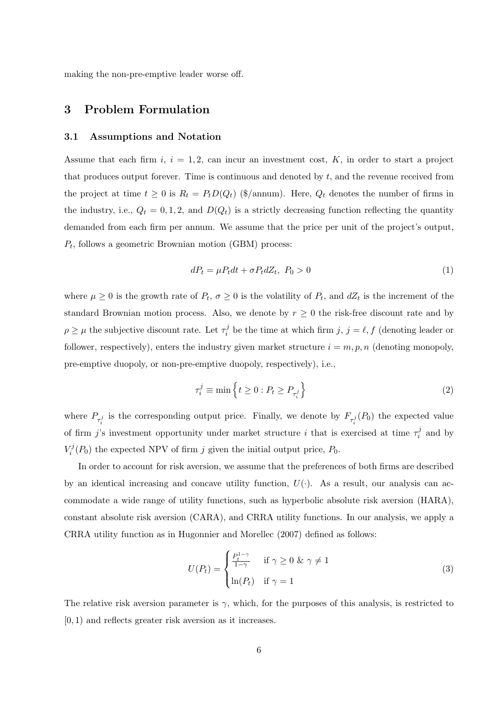making the non-pre-emptive leader worse off.

### 3 Problem Formulation

#### 3.1 Assumptions and Notation

Assume that each firm  $i, i = 1, 2$ , can incur an investment cost, K, in order to start a project that produces output forever. Time is continuous and denoted by  $t$ , and the revenue received from the project at time  $t \geq 0$  is  $R_t = P_t D(Q_t)$  (\$/annum). Here,  $Q_t$  denotes the number of firms in the industry, i.e.,  $Q_t = 0, 1, 2$ , and  $D(Q_t)$  is a strictly decreasing function reflecting the quantity demanded from each firm per annum. We assume that the price per unit of the project's output,  $P_t$ , follows a geometric Brownian motion (GBM) process:

$$
dP_t = \mu P_t dt + \sigma P_t dZ_t, \ P_0 > 0 \tag{1}
$$

where  $\mu \geq 0$  is the growth rate of  $P_t$ ,  $\sigma \geq 0$  is the volatility of  $P_t$ , and  $dZ_t$  is the increment of the standard Brownian motion process. Also, we denote by  $r \geq 0$  the risk-free discount rate and by  $\rho \geq \mu$  the subjective discount rate. Let  $\tau_i^j$  be the time at which firm  $j, j = \ell, f$  (denoting leader or follower, respectively), enters the industry given market structure  $i = m, p, n$  (denoting monopoly, pre-emptive duopoly, or non-pre-emptive duopoly, respectively), i.e.,

$$
\tau_i^j \equiv \min \left\{ t \ge 0 : P_t \ge P_{\tau_i^j} \right\} \tag{2}
$$

where  $P_{\tau_i^j}$  is the corresponding output price. Finally, we denote by  $F_{\tau_i^j}(P_0)$  the expected value of firm j's investment opportunity under market structure i that is exercised at time  $\tau_i^j$  and by  $V_i^j(P_0)$  the expected NPV of firm j given the initial output price,  $P_0$ .

In order to account for risk aversion, we assume that the preferences of both firms are described by an identical increasing and concave utility function,  $U(\cdot)$ . As a result, our analysis can accommodate a wide range of utility functions, such as hyperbolic absolute risk aversion (HARA), constant absolute risk aversion (CARA), and CRRA utility functions. In our analysis, we apply a CRRA utility function as in Hugonnier and Morellec (2007) defined as follows:

$$
U(P_t) = \begin{cases} \frac{P_t^{1-\gamma}}{1-\gamma} & \text{if } \gamma \ge 0 \text{ \& } \gamma \ne 1\\ \ln(P_t) & \text{if } \gamma = 1 \end{cases}
$$
 (3)

The relative risk aversion parameter is  $\gamma$ , which, for the purposes of this analysis, is restricted to [0, 1) and reflects greater risk aversion as it increases.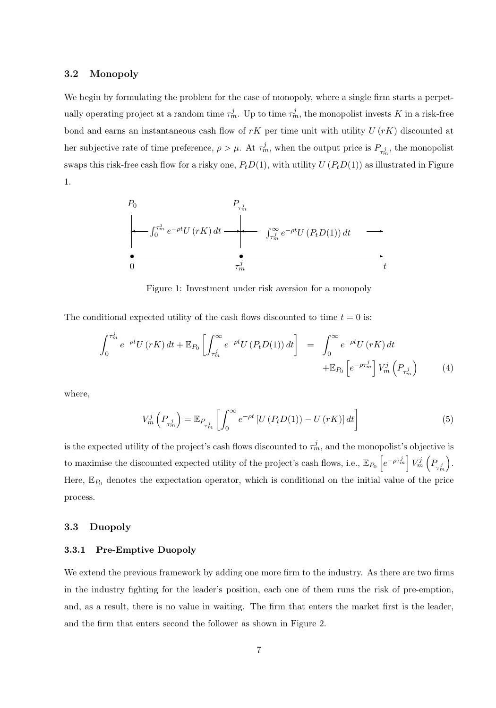#### 3.2 Monopoly

We begin by formulating the problem for the case of monopoly, where a single firm starts a perpetually operating project at a random time  $\tau_m^j$ . Up to time  $\tau_m^j$ , the monopolist invests K in a risk-free bond and earns an instantaneous cash flow of  $rK$  per time unit with utility  $U(rK)$  discounted at her subjective rate of time preference,  $\rho > \mu$ . At  $\tau_m^j$ , when the output price is  $P_{\tau_m^j}$ , the monopolist swaps this risk-free cash flow for a risky one,  $P_tD(1)$ , with utility  $U(P_tD(1))$  as illustrated in Figure 1.



Figure 1: Investment under risk aversion for a monopoly

The conditional expected utility of the cash flows discounted to time  $t = 0$  is:

$$
\int_0^{\tau_m^j} e^{-\rho t} U(rK) dt + \mathbb{E}_{P_0} \left[ \int_{\tau_m^j}^{\infty} e^{-\rho t} U(P_t D(1)) dt \right] = \int_0^{\infty} e^{-\rho t} U(rK) dt
$$
  
 
$$
+ \mathbb{E}_{P_0} \left[ e^{-\rho \tau_m^j} \right] V_m^j \left( P_{\tau_m^j} \right) \tag{4}
$$

where,

$$
V_m^j\left(P_{\tau_m^j}\right) = \mathbb{E}_{P_{\tau_m^j}}\left[\int_0^\infty e^{-\rho t}\left[U\left(P_t D(1)\right) - U\left(rK\right)\right]dt\right]
$$
\n<sup>(5)</sup>

is the expected utility of the project's cash flows discounted to  $\tau_m^j$ , and the monopolist's objective is to maximise the discounted expected utility of the project's cash flows, i.e.,  $\mathbb{E}_{P_0}\left[e^{-\rho\tau_m^j}\right]V_m^j\left(P_{\tau_m^j}\right)$  . Here,  $\mathbb{E}_{P_0}$  denotes the expectation operator, which is conditional on the initial value of the price process.

#### 3.3 Duopoly

#### 3.3.1 Pre-Emptive Duopoly

We extend the previous framework by adding one more firm to the industry. As there are two firms in the industry fighting for the leader's position, each one of them runs the risk of pre-emption, and, as a result, there is no value in waiting. The firm that enters the market first is the leader, and the firm that enters second the follower as shown in Figure 2.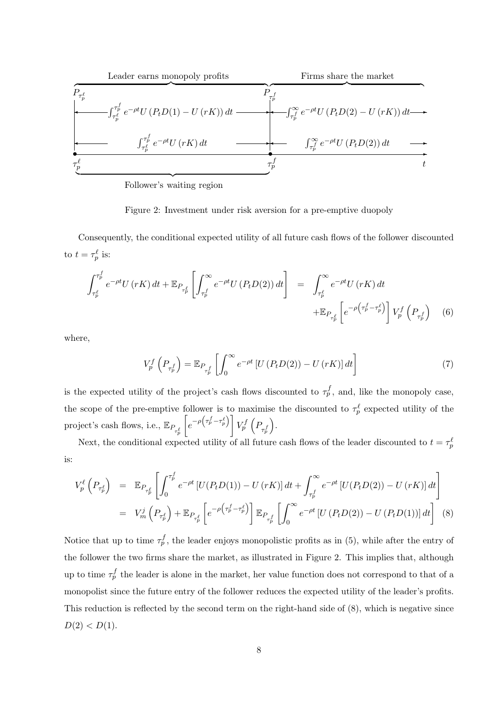

Follower's waiting region

Figure 2: Investment under risk aversion for a pre-emptive duopoly

Consequently, the conditional expected utility of all future cash flows of the follower discounted to  $t = \tau_p^{\ell}$  is:

$$
\int_{\tau_p^\ell}^{\tau_p^\ell} e^{-\rho t} U(rK) dt + \mathbb{E}_{P_{\tau_p^\ell}} \left[ \int_{\tau_p^\ell}^{\infty} e^{-\rho t} U(P_t D(2)) dt \right] = \int_{\tau_p^\ell}^{\infty} e^{-\rho t} U(rK) dt
$$
  
 
$$
+ \mathbb{E}_{P_{\tau_p^\ell}} \left[ e^{-\rho \left( \tau_p^\ell - \tau_p^\ell \right)} \right] V_p^f \left( P_{\tau_p^\ell} \right) \tag{6}
$$

where,

$$
V_p^f\left(P_{\tau_p^f}\right) = \mathbb{E}_{P_{\tau_p^f}}\left[\int_0^\infty e^{-\rho t}\left[U\left(P_t D(2)\right) - U\left(rK\right)\right]dt\right]
$$
\n(7)

is the expected utility of the project's cash flows discounted to  $\tau_p^f$ , and, like the monopoly case, the scope of the pre-emptive follower is to maximise the discounted to  $\tau_p^{\ell}$  expected utility of the project's cash flows, i.e.,  $\mathbb{E}_{P_{\tau_p^{\ell}}}$  $\sqrt{ }$  $\left[ e^{-\rho\left(\tau^f_p-\tau^{\ell}_p\right)}\right] V^f_p\left( P_{\tau^f_p}\right)$ .

Next, the conditional expected utility of all future cash flows of the leader discounted to  $t = \tau_p^{\ell}$ is:

$$
V_{p}^{\ell}\left(P_{\tau_{p}^{\ell}}\right) = \mathbb{E}_{P_{\tau_{p}^{\ell}}}\left[\int_{0}^{\tau_{p}^{\ell}} e^{-\rho t} \left[U(P_{t}D(1)) - U(rK)\right]dt + \int_{\tau_{p}^{\ell}}^{\infty} e^{-\rho t} \left[U(P_{t}D(2)) - U(rK)\right]dt\right]
$$
  
=  $V_{m}^{j}\left(P_{\tau_{p}^{\ell}}\right) + \mathbb{E}_{P_{\tau_{p}^{\ell}}}\left[e^{-\rho\left(\tau_{p}^{\ell} - \tau_{p}^{\ell}\right)}\right] \mathbb{E}_{P_{\tau_{p}^{\ell}}}\left[\int_{0}^{\infty} e^{-\rho t} \left[U(P_{t}D(2)) - U(P_{t}D(1))\right]dt\right]$  (8)

Notice that up to time  $\tau_p^f$ , the leader enjoys monopolistic profits as in (5), while after the entry of the follower the two firms share the market, as illustrated in Figure 2. This implies that, although up to time  $\tau_p^f$  the leader is alone in the market, her value function does not correspond to that of a monopolist since the future entry of the follower reduces the expected utility of the leader's profits. This reduction is reflected by the second term on the right-hand side of (8), which is negative since  $D(2) < D(1)$ .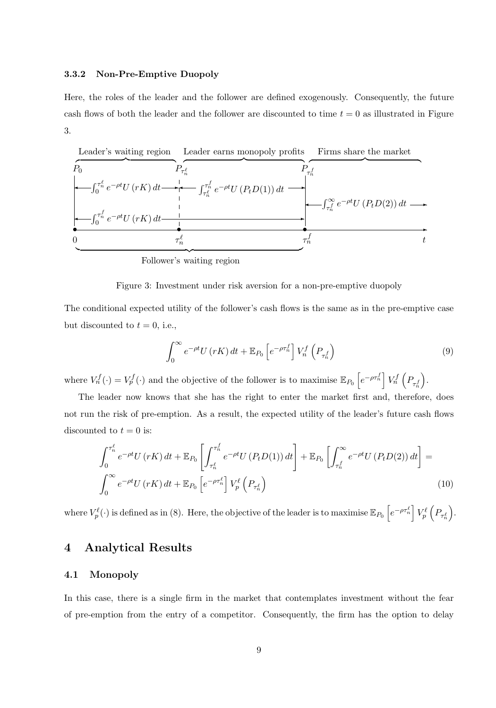#### 3.3.2 Non-Pre-Emptive Duopoly

Here, the roles of the leader and the follower are defined exogenously. Consequently, the future cash flows of both the leader and the follower are discounted to time  $t = 0$  as illustrated in Figure 3.



Follower's waiting region

Figure 3: Investment under risk aversion for a non-pre-emptive duopoly

The conditional expected utility of the follower's cash flows is the same as in the pre-emptive case but discounted to  $t = 0$ , i.e.,

$$
\int_0^\infty e^{-\rho t} U(rK) dt + \mathbb{E}_{P_0} \left[ e^{-\rho \tau_n^f} \right] V_n^f \left( P_{\tau_n^f} \right) \tag{9}
$$

where  $V_n^f(\cdot) = V_p^f(\cdot)$  and the objective of the follower is to maximise  $\mathbb{E}_{P_0}\left[e^{-\rho \tau_n^f}\right] V_n^f\left(P_{\tau_n^f}\right)$ .

The leader now knows that she has the right to enter the market first and, therefore, does not run the risk of pre-emption. As a result, the expected utility of the leader's future cash flows discounted to  $t = 0$  is:

$$
\int_0^{\tau_n^{\ell}} e^{-\rho t} U(rK) dt + \mathbb{E}_{P_0} \left[ \int_{\tau_n^{\ell}}^{\tau_n^{\ell}} e^{-\rho t} U(P_t D(1)) dt \right] + \mathbb{E}_{P_0} \left[ \int_{\tau_n^{\ell}}^{\infty} e^{-\rho t} U(P_t D(2)) dt \right] =
$$
\n
$$
\int_0^{\infty} e^{-\rho t} U(rK) dt + \mathbb{E}_{P_0} \left[ e^{-\rho \tau_n^{\ell}} \right] V_p^{\ell} \left( P_{\tau_n^{\ell}} \right) \tag{10}
$$

where  $V_p^{\ell}(\cdot)$  is defined as in (8). Here, the objective of the leader is to maximise  $\mathbb{E}_{P_0}\left[e^{-\rho \tau_n^{\ell}}\right]V_p^{\ell}\left(P_{\tau_n^{\ell}}\right)$ .

### 4 Analytical Results

#### 4.1 Monopoly

In this case, there is a single firm in the market that contemplates investment without the fear of pre-emption from the entry of a competitor. Consequently, the firm has the option to delay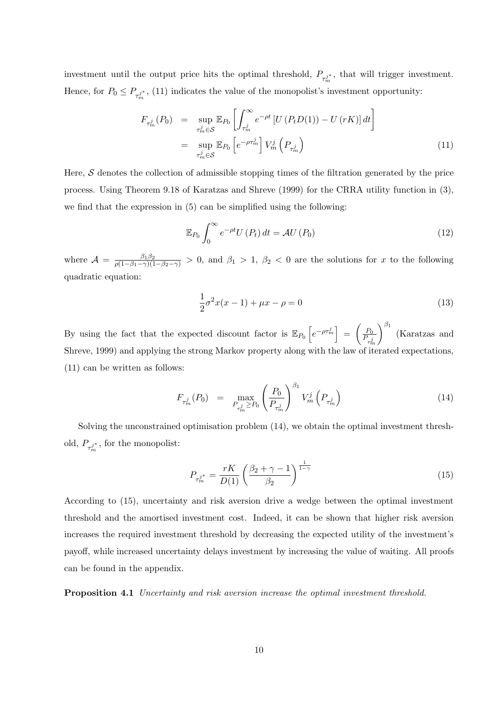investment until the output price hits the optimal threshold,  $P_{\tau_{m}^{j*}}$ , that will trigger investment. Hence, for  $P_0 \le P_{\tau_m^{j*}}$ , (11) indicates the value of the monopolist's investment opportunity:

$$
F_{\tau_m^j}(P_0) = \sup_{\tau_m^j \in S} \mathbb{E}_{P_0} \left[ \int_{\tau_m^j}^{\infty} e^{-\rho t} \left[ U(P_t D(1)) - U(rK) \right] dt \right]
$$
  

$$
= \sup_{\tau_m^j \in S} \mathbb{E}_{P_0} \left[ e^{-\rho \tau_m^j} \right] V_m^j \left( P_{\tau_m^j} \right)
$$
(11)

Here,  $S$  denotes the collection of admissible stopping times of the filtration generated by the price process. Using Theorem 9.18 of Karatzas and Shreve (1999) for the CRRA utility function in (3), we find that the expression in (5) can be simplified using the following:

$$
\mathbb{E}_{P_0} \int_0^\infty e^{-\rho t} U(P_t) dt = \mathcal{A} U(P_0)
$$
\n(12)

where  $\mathcal{A} = \frac{\beta_1 \beta_2}{\rho(1-\beta_1-\gamma)(1-\beta_2-\gamma)} > 0$ , and  $\beta_1 > 1$ ,  $\beta_2 < 0$  are the solutions for x to the following quadratic equation:

$$
\frac{1}{2}\sigma^2 x(x-1) + \mu x - \rho = 0\tag{13}
$$

By using the fact that the expected discount factor is  $\mathbb{E}_{P_0}\left[e^{-\rho\tau_m^j}\right] = \left(\frac{P_0}{P_0}\right)^{j}$  $P_{\tau^j_m}$  $\int_{0}^{\beta_1}$  (Karatzas and Shreve, 1999) and applying the strong Markov property along with the law of iterated expectations, (11) can be written as follows:

$$
F_{\tau_m^j}(P_0) = \max_{P_{\tau_m^j} \ge P_0} \left(\frac{P_0}{P_{\tau_m^j}}\right)^{\beta_1} V_m^j\left(P_{\tau_m^j}\right) \tag{14}
$$

Solving the unconstrained optimisation problem (14), we obtain the optimal investment threshold,  $P_{\tau_m^{j*}}$ , for the monopolist:

$$
P_{\tau_m^{j^*}} = \frac{rK}{D(1)} \left(\frac{\beta_2 + \gamma - 1}{\beta_2}\right)^{\frac{1}{1-\gamma}}
$$
(15)

According to (15), uncertainty and risk aversion drive a wedge between the optimal investment threshold and the amortised investment cost. Indeed, it can be shown that higher risk aversion increases the required investment threshold by decreasing the expected utility of the investment's payoff, while increased uncertainty delays investment by increasing the value of waiting. All proofs can be found in the appendix.

Proposition 4.1 Uncertainty and risk aversion increase the optimal investment threshold.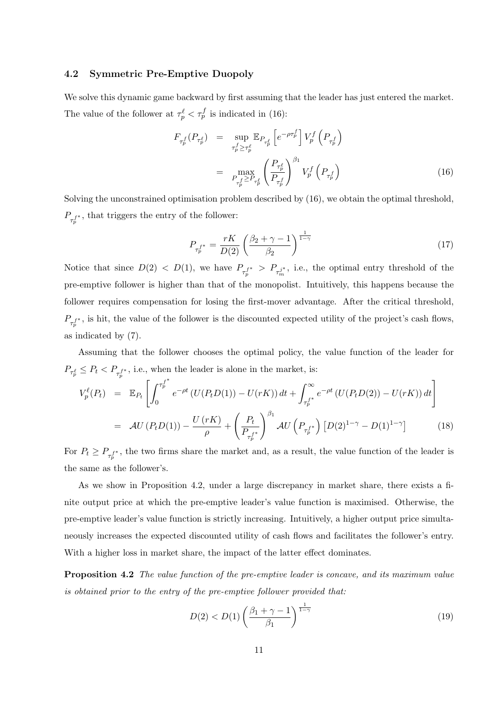#### 4.2 Symmetric Pre-Emptive Duopoly

We solve this dynamic game backward by first assuming that the leader has just entered the market. The value of the follower at  $\tau_p^{\ell} < \tau_p^f$  is indicated in (16):

$$
F_{\tau_p^f}(P_{\tau_p^{\ell}}) = \sup_{\tau_p^f \ge \tau_p^{\ell}} \mathbb{E}_{P_{\tau_p^{\ell}}}\left[e^{-\rho \tau_p^f}\right] V_p^f\left(P_{\tau_p^f}\right)
$$

$$
= \max_{P_{\tau_p^f} \ge P_{\tau_p^{\ell}}}\left(\frac{P_{\tau_p^{\ell}}}{P_{\tau_p^f}}\right)^{\beta_1} V_p^f\left(P_{\tau_p^f}\right) \tag{16}
$$

Solving the unconstrained optimisation problem described by (16), we obtain the optimal threshold,  $P_{\tau_p^{f^*}}$ , that triggers the entry of the follower:

$$
P_{\tau_p^{f^*}} = \frac{rK}{D(2)} \left(\frac{\beta_2 + \gamma - 1}{\beta_2}\right)^{\frac{1}{1-\gamma}}
$$
(17)

Notice that since  $D(2) < D(1)$ , we have  $P_{\tau_p^{f^*}} > P_{\tau_m^{j^*}}$ , i.e., the optimal entry threshold of the pre-emptive follower is higher than that of the monopolist. Intuitively, this happens because the follower requires compensation for losing the first-mover advantage. After the critical threshold,  $P_{\tau_p^{f^*}}$ , is hit, the value of the follower is the discounted expected utility of the project's cash flows, as indicated by (7).

Assuming that the follower chooses the optimal policy, the value function of the leader for  $P_{\tau^{\ell}_p} \leq P_t < P_{\tau^{\ell^*}_p}$ , i.e., when the leader is alone in the market, is:

$$
V_p^{\ell}(P_t) = \mathbb{E}_{P_t} \left[ \int_0^{\tau_p^{f^*}} e^{-\rho t} \left( U(P_t D(1)) - U(rK) \right) dt + \int_{\tau_p^{f^*}}^{\infty} e^{-\rho t} \left( U(P_t D(2)) - U(rK) \right) dt \right]
$$
  
= 
$$
\mathcal{A} U(P_t D(1)) - \frac{U(rK)}{\rho} + \left( \frac{P_t}{P_{\tau_p^{f^*}}} \right)^{\beta_1} \mathcal{A} U\left( P_{\tau_p^{f^*}} \right) \left[ D(2)^{1-\gamma} - D(1)^{1-\gamma} \right]
$$
(18)

For  $P_t \ge P_{\tau_p^{f^*}}$ , the two firms share the market and, as a result, the value function of the leader is the same as the follower's.

As we show in Proposition 4.2, under a large discrepancy in market share, there exists a finite output price at which the pre-emptive leader's value function is maximised. Otherwise, the pre-emptive leader's value function is strictly increasing. Intuitively, a higher output price simultaneously increases the expected discounted utility of cash flows and facilitates the follower's entry. With a higher loss in market share, the impact of the latter effect dominates.

Proposition 4.2 The value function of the pre-emptive leader is concave, and its maximum value is obtained prior to the entry of the pre-emptive follower provided that:

$$
D(2) < D(1) \left( \frac{\beta_1 + \gamma - 1}{\beta_1} \right)^{\frac{1}{1 - \gamma}} \tag{19}
$$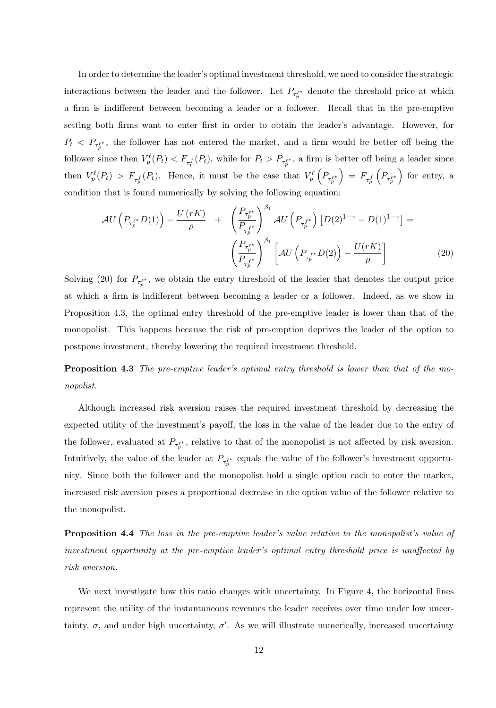In order to determine the leader's optimal investment threshold, we need to consider the strategic interactions between the leader and the follower. Let  $P_{\tau_p^{\ell^*}}$  denote the threshold price at which a firm is indifferent between becoming a leader or a follower. Recall that in the pre-emptive setting both firms want to enter first in order to obtain the leader's advantage. However, for  $P_t$  <  $P_{\tau_p^{\ell^*}}$ , the follower has not entered the market, and a firm would be better off being the follower since then  $V_p^{\ell}(P_t) < F_{\tau_p^f}(P_t)$ , while for  $P_t > P_{\tau_p^{f^*}}$ , a firm is better off being a leader since then  $V_p^{\ell}(P_t) > F_{\tau_p^f}(P_t)$ . Hence, it must be the case that  $V_p^{\ell}(P_{\tau_p^{f*}})$  $\Big) \, = \, F_{\tau^f_p}$  $\left(P_{\tau_p^{\ell^*}}\right)$ ) for entry, a condition that is found numerically by solving the following equation:

$$
\mathcal{A}U\left(P_{\tau_p^{\ell^*}}D(1)\right) - \frac{U\left(rK\right)}{\rho} + \left(\frac{P_{\tau_p^{\ell^*}}}{P_{\tau_p^{\ell^*}}}\right)^{\beta_1} \mathcal{A}U\left(P_{\tau_p^{\ell^*}}\right)\left[D(2)^{1-\gamma} - D(1)^{1-\gamma}\right] =
$$
\n
$$
\left(\frac{P_{\tau_p^{\ell^*}}}{P_{\tau_p^{\ell^*}}}\right)^{\beta_1} \left[\mathcal{A}U\left(P_{\tau_p^{\ell^*}}D(2)\right) - \frac{U(rK)}{\rho}\right] \tag{20}
$$

Solving (20) for  $P_{\tau_p^{\ell^*}}$ , we obtain the entry threshold of the leader that denotes the output price at which a firm is indifferent between becoming a leader or a follower. Indeed, as we show in Proposition 4.3, the optimal entry threshold of the pre-emptive leader is lower than that of the monopolist. This happens because the risk of pre-emption deprives the leader of the option to postpone investment, thereby lowering the required investment threshold.

Proposition 4.3 The pre-emptive leader's optimal entry threshold is lower than that of the monopolist.

Although increased risk aversion raises the required investment threshold by decreasing the expected utility of the investment's payoff, the loss in the value of the leader due to the entry of the follower, evaluated at  $P_{\tau_p^{\ell^*}}$ , relative to that of the monopolist is not affected by risk aversion. Intuitively, the value of the leader at  $P_{\tau_p^{\ell^*}}$  equals the value of the follower's investment opportunity. Since both the follower and the monopolist hold a single option each to enter the market, increased risk aversion poses a proportional decrease in the option value of the follower relative to the monopolist.

Proposition 4.4 The loss in the pre-emptive leader's value relative to the monopolist's value of investment opportunity at the pre-emptive leader's optimal entry threshold price is unaffected by risk aversion.

We next investigate how this ratio changes with uncertainty. In Figure 4, the horizontal lines represent the utility of the instantaneous revenues the leader receives over time under low uncertainty,  $\sigma$ , and under high uncertainty,  $\sigma'$ . As we will illustrate numerically, increased uncertainty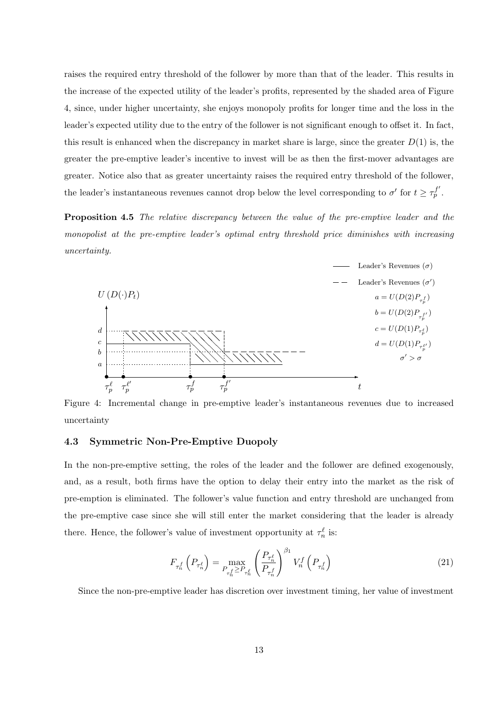raises the required entry threshold of the follower by more than that of the leader. This results in the increase of the expected utility of the leader's profits, represented by the shaded area of Figure 4, since, under higher uncertainty, she enjoys monopoly profits for longer time and the loss in the leader's expected utility due to the entry of the follower is not significant enough to offset it. In fact, this result is enhanced when the discrepancy in market share is large, since the greater  $D(1)$  is, the greater the pre-emptive leader's incentive to invest will be as then the first-mover advantages are greater. Notice also that as greater uncertainty raises the required entry threshold of the follower, the leader's instantaneous revenues cannot drop below the level corresponding to  $\sigma'$  for  $t \geq \tau_p^{f'}$ .

**Proposition 4.5** The relative discrepancy between the value of the pre-emptive leader and the monopolist at the pre-emptive leader's optimal entry threshold price diminishes with increasing uncertainty.



Figure 4: Incremental change in pre-emptive leader's instantaneous revenues due to increased uncertainty

#### 4.3 Symmetric Non-Pre-Emptive Duopoly

In the non-pre-emptive setting, the roles of the leader and the follower are defined exogenously, and, as a result, both firms have the option to delay their entry into the market as the risk of pre-emption is eliminated. The follower's value function and entry threshold are unchanged from the pre-emptive case since she will still enter the market considering that the leader is already there. Hence, the follower's value of investment opportunity at  $\tau_n^{\ell}$  is:

$$
F_{\tau_n^f} \left( P_{\tau_n^{\ell}} \right) = \max_{P_{\tau_n^f} \ge P_{\tau_n^{\ell}}} \left( \frac{P_{\tau_n^{\ell}}}{P_{\tau_n^f}} \right)^{\beta_1} V_n^f \left( P_{\tau_n^f} \right) \tag{21}
$$

Since the non-pre-emptive leader has discretion over investment timing, her value of investment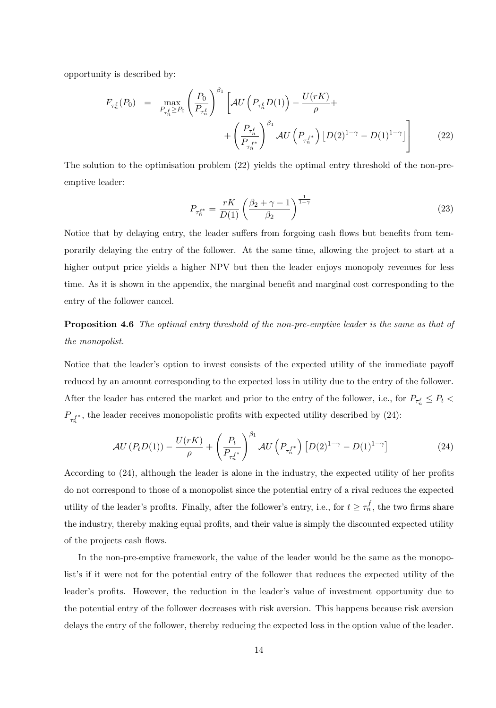opportunity is described by:

$$
F_{\tau_n^{\ell}}(P_0) = \max_{P_{\tau_n^{\ell}} \ge P_0} \left( \frac{P_0}{P_{\tau_n^{\ell}}} \right)^{\beta_1} \left[ \mathcal{A}U\left(P_{\tau_n^{\ell}} D(1)\right) - \frac{U(rK)}{\rho} + \left( \frac{P_{\tau_n^{\ell}}}{P_{\tau_n^{\ell}}} \right)^{\beta_1} \mathcal{A}U\left(P_{\tau_n^{\ell}}\right) \left[ D(2)^{1-\gamma} - D(1)^{1-\gamma} \right] \right] \tag{22}
$$

The solution to the optimisation problem (22) yields the optimal entry threshold of the non-preemptive leader:

$$
P_{\tau_n^{\ell^*}} = \frac{rK}{D(1)} \left(\frac{\beta_2 + \gamma - 1}{\beta_2}\right)^{\frac{1}{1-\gamma}}
$$
 (23)

Notice that by delaying entry, the leader suffers from forgoing cash flows but benefits from temporarily delaying the entry of the follower. At the same time, allowing the project to start at a higher output price yields a higher NPV but then the leader enjoys monopoly revenues for less time. As it is shown in the appendix, the marginal benefit and marginal cost corresponding to the entry of the follower cancel.

Proposition 4.6 The optimal entry threshold of the non-pre-emptive leader is the same as that of the monopolist.

Notice that the leader's option to invest consists of the expected utility of the immediate payoff reduced by an amount corresponding to the expected loss in utility due to the entry of the follower. After the leader has entered the market and prior to the entry of the follower, i.e., for  $P_{\tau_n^{\ell}} \leq P_t$  $P_{\tau_n^{f^*}}$ , the leader receives monopolistic profits with expected utility described by (24):

$$
\mathcal{A}U\left(P_t D(1)\right) - \frac{U(rK)}{\rho} + \left(\frac{P_t}{P_{\tau_n^{f^*}}}\right)^{\beta_1} \mathcal{A}U\left(P_{\tau_n^{f^*}}\right)\left[D(2)^{1-\gamma} - D(1)^{1-\gamma}\right] \tag{24}
$$

According to (24), although the leader is alone in the industry, the expected utility of her profits do not correspond to those of a monopolist since the potential entry of a rival reduces the expected utility of the leader's profits. Finally, after the follower's entry, i.e., for  $t \geq \tau_n^f$ , the two firms share the industry, thereby making equal profits, and their value is simply the discounted expected utility of the projects cash flows.

In the non-pre-emptive framework, the value of the leader would be the same as the monopolist's if it were not for the potential entry of the follower that reduces the expected utility of the leader's profits. However, the reduction in the leader's value of investment opportunity due to the potential entry of the follower decreases with risk aversion. This happens because risk aversion delays the entry of the follower, thereby reducing the expected loss in the option value of the leader.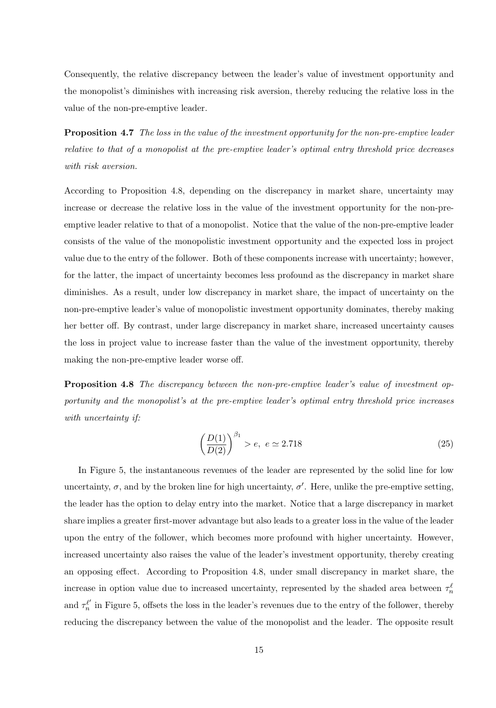Consequently, the relative discrepancy between the leader's value of investment opportunity and the monopolist's diminishes with increasing risk aversion, thereby reducing the relative loss in the value of the non-pre-emptive leader.

Proposition 4.7 The loss in the value of the investment opportunity for the non-pre-emptive leader relative to that of a monopolist at the pre-emptive leader's optimal entry threshold price decreases with risk aversion.

According to Proposition 4.8, depending on the discrepancy in market share, uncertainty may increase or decrease the relative loss in the value of the investment opportunity for the non-preemptive leader relative to that of a monopolist. Notice that the value of the non-pre-emptive leader consists of the value of the monopolistic investment opportunity and the expected loss in project value due to the entry of the follower. Both of these components increase with uncertainty; however, for the latter, the impact of uncertainty becomes less profound as the discrepancy in market share diminishes. As a result, under low discrepancy in market share, the impact of uncertainty on the non-pre-emptive leader's value of monopolistic investment opportunity dominates, thereby making her better off. By contrast, under large discrepancy in market share, increased uncertainty causes the loss in project value to increase faster than the value of the investment opportunity, thereby making the non-pre-emptive leader worse off.

**Proposition 4.8** The discrepancy between the non-pre-emptive leader's value of investment opportunity and the monopolist's at the pre-emptive leader's optimal entry threshold price increases with uncertainty if:

$$
\left(\frac{D(1)}{D(2)}\right)^{\beta_1} > e, \ e \simeq 2.718 \tag{25}
$$

In Figure 5, the instantaneous revenues of the leader are represented by the solid line for low uncertainty,  $\sigma$ , and by the broken line for high uncertainty,  $\sigma'$ . Here, unlike the pre-emptive setting, the leader has the option to delay entry into the market. Notice that a large discrepancy in market share implies a greater first-mover advantage but also leads to a greater loss in the value of the leader upon the entry of the follower, which becomes more profound with higher uncertainty. However, increased uncertainty also raises the value of the leader's investment opportunity, thereby creating an opposing effect. According to Proposition 4.8, under small discrepancy in market share, the increase in option value due to increased uncertainty, represented by the shaded area between  $\tau_n^{\ell}$ and  $\tau_n^{\ell'}$  in Figure 5, offsets the loss in the leader's revenues due to the entry of the follower, thereby reducing the discrepancy between the value of the monopolist and the leader. The opposite result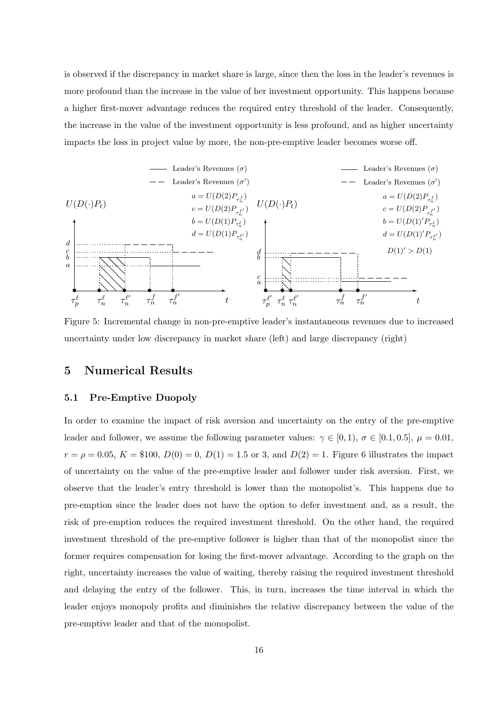is observed if the discrepancy in market share is large, since then the loss in the leader's revenues is more profound than the increase in the value of her investment opportunity. This happens because a higher first-mover advantage reduces the required entry threshold of the leader. Consequently, the increase in the value of the investment opportunity is less profound, and as higher uncertainty impacts the loss in project value by more, the non-pre-emptive leader becomes worse off.



Figure 5: Incremental change in non-pre-emptive leader's instantaneous revenues due to increased uncertainty under low discrepancy in market share (left) and large discrepancy (right)

### 5 Numerical Results

#### 5.1 Pre-Emptive Duopoly

In order to examine the impact of risk aversion and uncertainty on the entry of the pre-emptive leader and follower, we assume the following parameter values:  $\gamma \in [0,1)$ ,  $\sigma \in [0.1,0.5]$ ,  $\mu = 0.01$ ,  $r = \rho = 0.05, K = \$100, D(0) = 0, D(1) = 1.5$  or 3, and  $D(2) = 1$ . Figure 6 illustrates the impact of uncertainty on the value of the pre-emptive leader and follower under risk aversion. First, we observe that the leader's entry threshold is lower than the monopolist's. This happens due to pre-emption since the leader does not have the option to defer investment and, as a result, the risk of pre-emption reduces the required investment threshold. On the other hand, the required investment threshold of the pre-emptive follower is higher than that of the monopolist since the former requires compensation for losing the first-mover advantage. According to the graph on the right, uncertainty increases the value of waiting, thereby raising the required investment threshold and delaying the entry of the follower. This, in turn, increases the time interval in which the leader enjoys monopoly profits and diminishes the relative discrepancy between the value of the pre-emptive leader and that of the monopolist.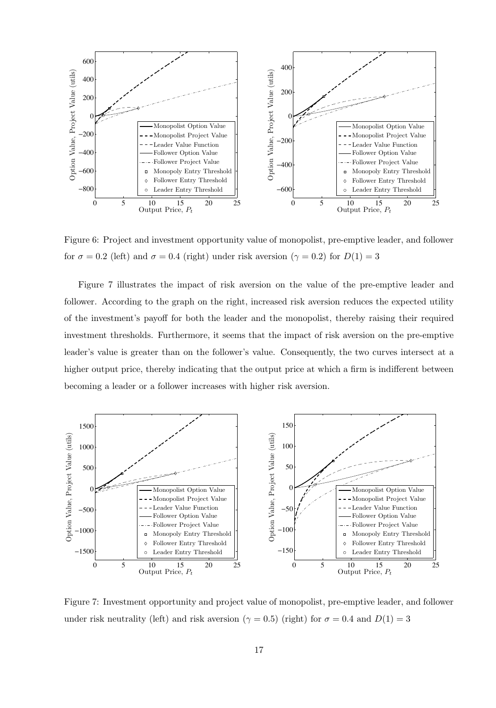

Figure 6: Project and investment opportunity value of monopolist, pre-emptive leader, and follower for  $\sigma = 0.2$  (left) and  $\sigma = 0.4$  (right) under risk aversion ( $\gamma = 0.2$ ) for  $D(1) = 3$ 

Figure 7 illustrates the impact of risk aversion on the value of the pre-emptive leader and follower. According to the graph on the right, increased risk aversion reduces the expected utility of the investment's payoff for both the leader and the monopolist, thereby raising their required investment thresholds. Furthermore, it seems that the impact of risk aversion on the pre-emptive leader's value is greater than on the follower's value. Consequently, the two curves intersect at a higher output price, thereby indicating that the output price at which a firm is indifferent between becoming a leader or a follower increases with higher risk aversion.



Figure 7: Investment opportunity and project value of monopolist, pre-emptive leader, and follower under risk neutrality (left) and risk aversion ( $\gamma = 0.5$ ) (right) for  $\sigma = 0.4$  and  $D(1) = 3$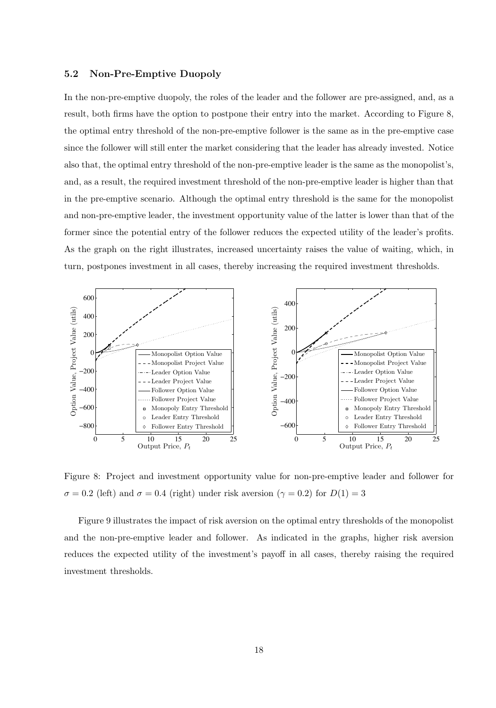#### 5.2 Non-Pre-Emptive Duopoly

In the non-pre-emptive duopoly, the roles of the leader and the follower are pre-assigned, and, as a result, both firms have the option to postpone their entry into the market. According to Figure 8, the optimal entry threshold of the non-pre-emptive follower is the same as in the pre-emptive case since the follower will still enter the market considering that the leader has already invested. Notice also that, the optimal entry threshold of the non-pre-emptive leader is the same as the monopolist's, and, as a result, the required investment threshold of the non-pre-emptive leader is higher than that in the pre-emptive scenario. Although the optimal entry threshold is the same for the monopolist and non-pre-emptive leader, the investment opportunity value of the latter is lower than that of the former since the potential entry of the follower reduces the expected utility of the leader's profits. As the graph on the right illustrates, increased uncertainty raises the value of waiting, which, in turn, postpones investment in all cases, thereby increasing the required investment thresholds.



Figure 8: Project and investment opportunity value for non-pre-emptive leader and follower for  $\sigma = 0.2$  (left) and  $\sigma = 0.4$  (right) under risk aversion ( $\gamma = 0.2$ ) for  $D(1) = 3$ 

Figure 9 illustrates the impact of risk aversion on the optimal entry thresholds of the monopolist and the non-pre-emptive leader and follower. As indicated in the graphs, higher risk aversion reduces the expected utility of the investment's payoff in all cases, thereby raising the required investment thresholds.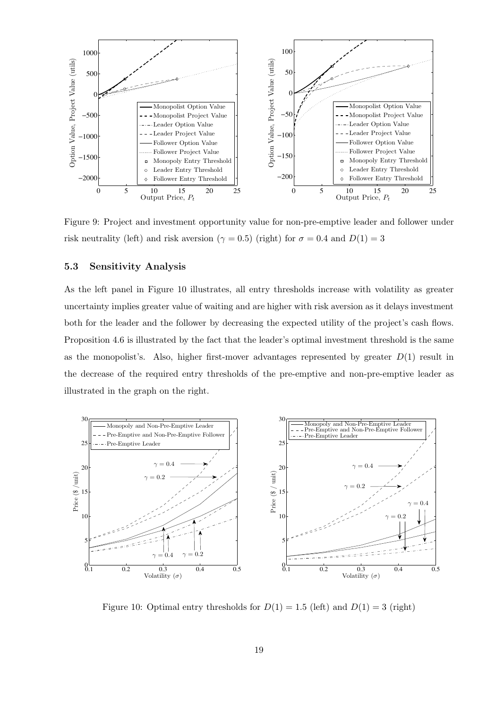

Figure 9: Project and investment opportunity value for non-pre-emptive leader and follower under risk neutrality (left) and risk aversion ( $\gamma = 0.5$ ) (right) for  $\sigma = 0.4$  and  $D(1) = 3$ 

#### 5.3 Sensitivity Analysis

As the left panel in Figure 10 illustrates, all entry thresholds increase with volatility as greater uncertainty implies greater value of waiting and are higher with risk aversion as it delays investment both for the leader and the follower by decreasing the expected utility of the project's cash flows. Proposition 4.6 is illustrated by the fact that the leader's optimal investment threshold is the same as the monopolist's. Also, higher first-mover advantages represented by greater  $D(1)$  result in the decrease of the required entry thresholds of the pre-emptive and non-pre-emptive leader as illustrated in the graph on the right.



Figure 10: Optimal entry thresholds for  $D(1) = 1.5$  (left) and  $D(1) = 3$  (right)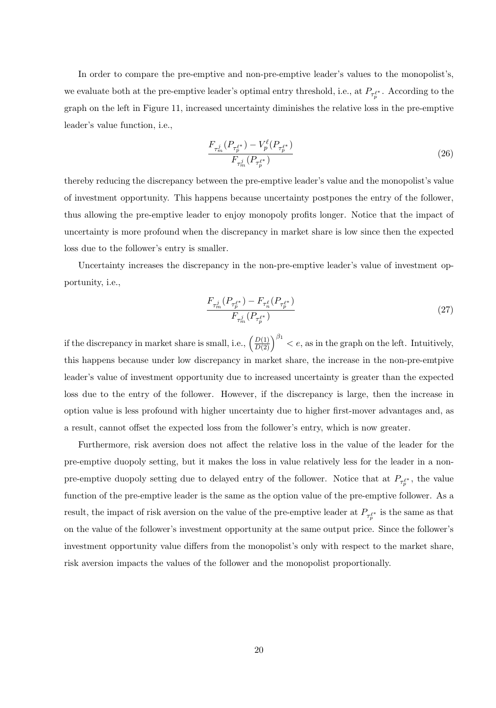In order to compare the pre-emptive and non-pre-emptive leader's values to the monopolist's, we evaluate both at the pre-emptive leader's optimal entry threshold, i.e., at  $P_{\tau_p^{\ell^*}}$ . According to the graph on the left in Figure 11, increased uncertainty diminishes the relative loss in the pre-emptive leader's value function, i.e.,

$$
\frac{F_{\tau_m^j}(P_{\tau_p^{\ell^*}}) - V_p^{\ell}(P_{\tau_p^{\ell^*}})}{F_{\tau_m^j}(P_{\tau_p^{\ell^*}})}\tag{26}
$$

thereby reducing the discrepancy between the pre-emptive leader's value and the monopolist's value of investment opportunity. This happens because uncertainty postpones the entry of the follower, thus allowing the pre-emptive leader to enjoy monopoly profits longer. Notice that the impact of uncertainty is more profound when the discrepancy in market share is low since then the expected loss due to the follower's entry is smaller.

Uncertainty increases the discrepancy in the non-pre-emptive leader's value of investment opportunity, i.e.,

$$
\frac{F_{\tau_m^j}(P_{\tau_p^{\ell^*}}) - F_{\tau_n^{\ell}}(P_{\tau_p^{\ell^*}})}{F_{\tau_m^j}(P_{\tau_p^{\ell^*}})}\tag{27}
$$

if the discrepancy in market share is small, i.e.,  $\left(\frac{D(1)}{D(2)}\right)$  $D(2)$  $\int_{0}^{\beta_1}$  < e, as in the graph on the left. Intuitively, this happens because under low discrepancy in market share, the increase in the non-pre-emtpive leader's value of investment opportunity due to increased uncertainty is greater than the expected loss due to the entry of the follower. However, if the discrepancy is large, then the increase in option value is less profound with higher uncertainty due to higher first-mover advantages and, as a result, cannot offset the expected loss from the follower's entry, which is now greater.

Furthermore, risk aversion does not affect the relative loss in the value of the leader for the pre-emptive duopoly setting, but it makes the loss in value relatively less for the leader in a nonpre-emptive duopoly setting due to delayed entry of the follower. Notice that at  $P_{\tau_p^{e^*}}$ , the value function of the pre-emptive leader is the same as the option value of the pre-emptive follower. As a result, the impact of risk aversion on the value of the pre-emptive leader at  $P_{\tau_p^{e^*}}$  is the same as that on the value of the follower's investment opportunity at the same output price. Since the follower's investment opportunity value differs from the monopolist's only with respect to the market share, risk aversion impacts the values of the follower and the monopolist proportionally.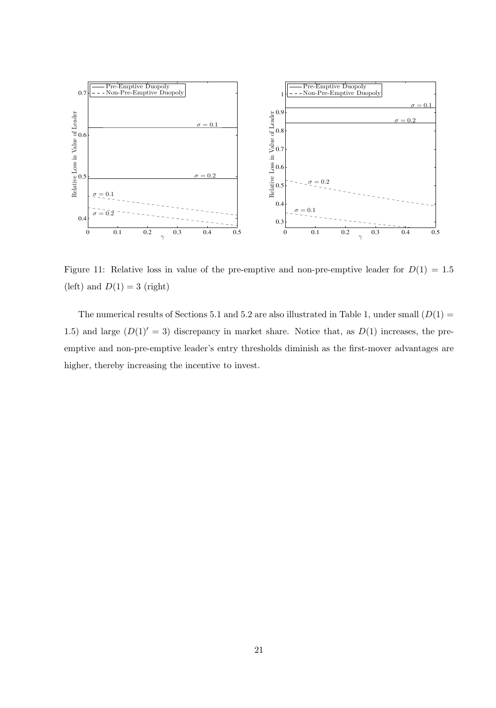

Figure 11: Relative loss in value of the pre-emptive and non-pre-emptive leader for  $D(1) = 1.5$ (left) and  $D(1) = 3$  (right)

The numerical results of Sections 5.1 and 5.2 are also illustrated in Table 1, under small  $(D(1)$  = 1.5) and large  $(D(1)′ = 3)$  discrepancy in market share. Notice that, as  $D(1)$  increases, the preemptive and non-pre-emptive leader's entry thresholds diminish as the first-mover advantages are higher, thereby increasing the incentive to invest.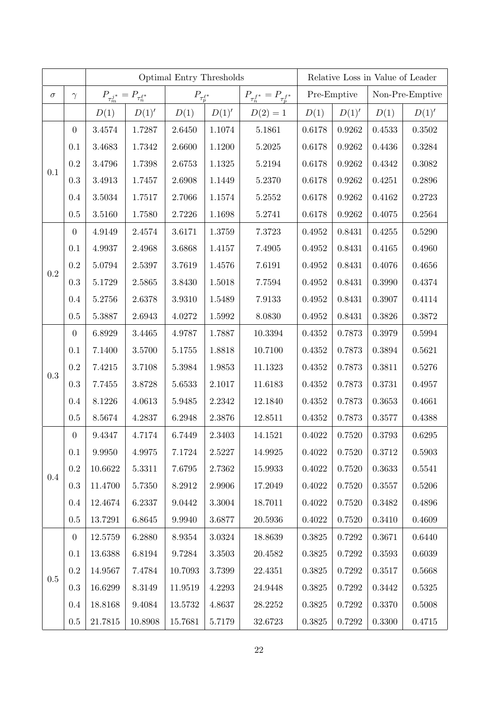|          |                  | Optimal Entry Thresholds               |            |                       |        |                                     | Relative Loss in Value of Leader |              |        |                 |  |
|----------|------------------|----------------------------------------|------------|-----------------------|--------|-------------------------------------|----------------------------------|--------------|--------|-----------------|--|
| $\sigma$ | $\gamma$         | $P_{\tau_m^{j^*}}=P_{\tau_n^{\ell^*}}$ |            | $P_{\tau_p^{\ell^*}}$ |        | $P_{\tau_n^{f^*}}=P_{\tau_p^{f^*}}$ |                                  | Pre-Emptive  |        | Non-Pre-Emptive |  |
|          |                  | D(1)                                   | D(1)'      | D(1)                  | D(1)'  | $D(2) = 1$                          | D(1)                             | $D(1)'$      | D(1)   | D(1)'           |  |
| 0.1      | $\boldsymbol{0}$ | 3.4574                                 | 1.7287     | 2.6450                | 1.1074 | 5.1861                              | 0.6178                           | $\,0.9262\,$ | 0.4533 | 0.3502          |  |
|          | 0.1              | 3.4683                                 | 1.7342     | 2.6600                | 1.1200 | 5.2025                              | 0.6178                           | 0.9262       | 0.4436 | 0.3284          |  |
|          | 0.2              | 3.4796                                 | 1.7398     | 2.6753                | 1.1325 | 5.2194                              | 0.6178                           | 0.9262       | 0.4342 | 0.3082          |  |
|          | $\rm 0.3$        | 3.4913                                 | 1.7457     | 2.6908                | 1.1449 | 5.2370                              | 0.6178                           | 0.9262       | 0.4251 | 0.2896          |  |
|          | 0.4              | 3.5034                                 | 1.7517     | 2.7066                | 1.1574 | 5.2552                              | 0.6178                           | 0.9262       | 0.4162 | 0.2723          |  |
|          | 0.5              | 3.5160                                 | 1.7580     | 2.7226                | 1.1698 | 5.2741                              | 0.6178                           | 0.9262       | 0.4075 | 0.2564          |  |
| 0.2      | $\boldsymbol{0}$ | 4.9149                                 | 2.4574     | 3.6171                | 1.3759 | 7.3723                              | 0.4952                           | 0.8431       | 0.4255 | 0.5290          |  |
|          | 0.1              | 4.9937                                 | 2.4968     | 3.6868                | 1.4157 | 7.4905                              | 0.4952                           | 0.8431       | 0.4165 | 0.4960          |  |
|          | $\rm 0.2$        | 5.0794                                 | 2.5397     | 3.7619                | 1.4576 | 7.6191                              | 0.4952                           | 0.8431       | 0.4076 | 0.4656          |  |
|          | 0.3              | 5.1729                                 | 2.5865     | 3.8430                | 1.5018 | 7.7594                              | 0.4952                           | 0.8431       | 0.3990 | 0.4374          |  |
|          | 0.4              | 5.2756                                 | 2.6378     | 3.9310                | 1.5489 | 7.9133                              | 0.4952                           | 0.8431       | 0.3907 | 0.4114          |  |
|          | 0.5              | 5.3887                                 | 2.6943     | 4.0272                | 1.5992 | 8.0830                              | 0.4952                           | 0.8431       | 0.3826 | 0.3872          |  |
| 0.3      | $\boldsymbol{0}$ | 6.8929                                 | 3.4465     | 4.9787                | 1.7887 | 10.3394                             | 0.4352                           | 0.7873       | 0.3979 | 0.5994          |  |
|          | 0.1              | 7.1400                                 | 3.5700     | 5.1755                | 1.8818 | 10.7100                             | 0.4352                           | 0.7873       | 0.3894 | 0.5621          |  |
|          | 0.2              | 7.4215                                 | 3.7108     | 5.3984                | 1.9853 | 11.1323                             | 0.4352                           | 0.7873       | 0.3811 | 0.5276          |  |
|          | 0.3              | 7.7455                                 | 3.8728     | 5.6533                | 2.1017 | 11.6183                             | 0.4352                           | 0.7873       | 0.3731 | 0.4957          |  |
|          | 0.4              | 8.1226                                 | 4.0613     | 5.9485                | 2.2342 | 12.1840                             | 0.4352                           | 0.7873       | 0.3653 | 0.4661          |  |
|          | 0.5              | 8.5674                                 | 4.2837     | 6.2948                | 2.3876 | 12.8511                             | 0.4352                           | 0.7873       | 0.3577 | 0.4388          |  |
| $0.4\,$  | $\overline{0}$   | 9.4347                                 | 4.7174     | 6.7449                | 2.3403 | 14.1521                             | 0.4022                           | 0.7520       | 0.3793 | 0.6295          |  |
|          | 0.1              | 9.9950                                 | 4.9975     | 7.1724                | 2.5227 | 14.9925                             | 0.4022                           | 0.7520       | 0.3712 | 0.5903          |  |
|          | $\rm 0.2$        | 10.6622                                | 5.3311     | 7.6795                | 2.7362 | 15.9933                             | 0.4022                           | 0.7520       | 0.3633 | 0.5541          |  |
|          | 0.3              | 11.4700                                | 5.7350     | 8.2912                | 2.9906 | 17.2049                             | 0.4022                           | $0.7520\,$   | 0.3557 | $0.5206\,$      |  |
|          | 0.4              | 12.4674                                | 6.2337     | 9.0442                | 3.3004 | 18.7011                             | 0.4022                           | 0.7520       | 0.3482 | 0.4896          |  |
|          | 0.5              | 13.7291                                | 6.8645     | 9.9940                | 3.6877 | 20.5936                             | 0.4022                           | 0.7520       | 0.3410 | 0.4609          |  |
| 0.5      | $\boldsymbol{0}$ | 12.5759                                | 6.2880     | 8.9354                | 3.0324 | 18.8639                             | 0.3825                           | 0.7292       | 0.3671 | 0.6440          |  |
|          | 0.1              | 13.6388                                | 6.8194     | 9.7284                | 3.3503 | 20.4582                             | 0.3825                           | 0.7292       | 0.3593 | 0.6039          |  |
|          | $\rm 0.2$        | 14.9567                                | 7.4784     | 10.7093               | 3.7399 | 22.4351                             | 0.3825                           | 0.7292       | 0.3517 | 0.5668          |  |
|          | 0.3              | 16.6299                                | $8.3149\,$ | 11.9519               | 4.2293 | 24.9448                             | 0.3825                           | 0.7292       | 0.3442 | 0.5325          |  |
|          | 0.4              | 18.8168                                | 9.4084     | 13.5732               | 4.8637 | 28.2252                             | 0.3825                           | 0.7292       | 0.3370 | 0.5008          |  |
|          | 0.5              | $21.7815\,$                            | 10.8908    | 15.7681               | 5.7179 | 32.6723                             | 0.3825                           | $0.7292\,$   | 0.3300 | 0.4715          |  |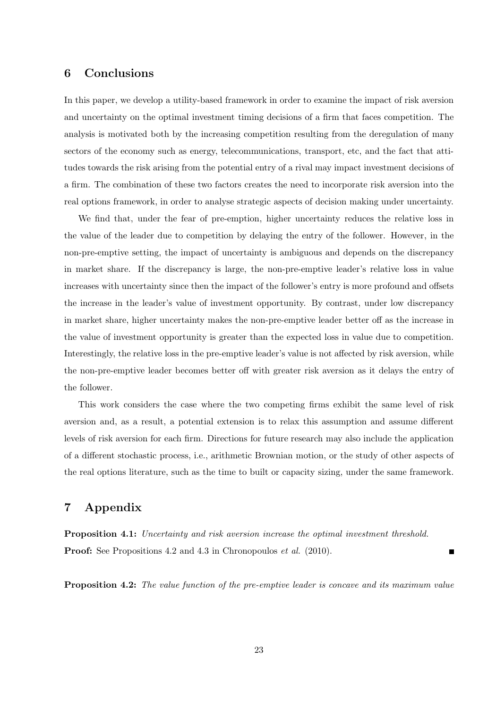### 6 Conclusions

In this paper, we develop a utility-based framework in order to examine the impact of risk aversion and uncertainty on the optimal investment timing decisions of a firm that faces competition. The analysis is motivated both by the increasing competition resulting from the deregulation of many sectors of the economy such as energy, telecommunications, transport, etc, and the fact that attitudes towards the risk arising from the potential entry of a rival may impact investment decisions of a firm. The combination of these two factors creates the need to incorporate risk aversion into the real options framework, in order to analyse strategic aspects of decision making under uncertainty.

We find that, under the fear of pre-emption, higher uncertainty reduces the relative loss in the value of the leader due to competition by delaying the entry of the follower. However, in the non-pre-emptive setting, the impact of uncertainty is ambiguous and depends on the discrepancy in market share. If the discrepancy is large, the non-pre-emptive leader's relative loss in value increases with uncertainty since then the impact of the follower's entry is more profound and offsets the increase in the leader's value of investment opportunity. By contrast, under low discrepancy in market share, higher uncertainty makes the non-pre-emptive leader better off as the increase in the value of investment opportunity is greater than the expected loss in value due to competition. Interestingly, the relative loss in the pre-emptive leader's value is not affected by risk aversion, while the non-pre-emptive leader becomes better off with greater risk aversion as it delays the entry of the follower.

This work considers the case where the two competing firms exhibit the same level of risk aversion and, as a result, a potential extension is to relax this assumption and assume different levels of risk aversion for each firm. Directions for future research may also include the application of a different stochastic process, i.e., arithmetic Brownian motion, or the study of other aspects of the real options literature, such as the time to built or capacity sizing, under the same framework.

## 7 Appendix

Proposition 4.1: Uncertainty and risk aversion increase the optimal investment threshold. **Proof:** See Propositions 4.2 and 4.3 in Chronopoulos *et al.* (2010).

Ē

**Proposition 4.2:** The value function of the pre-emptive leader is concave and its maximum value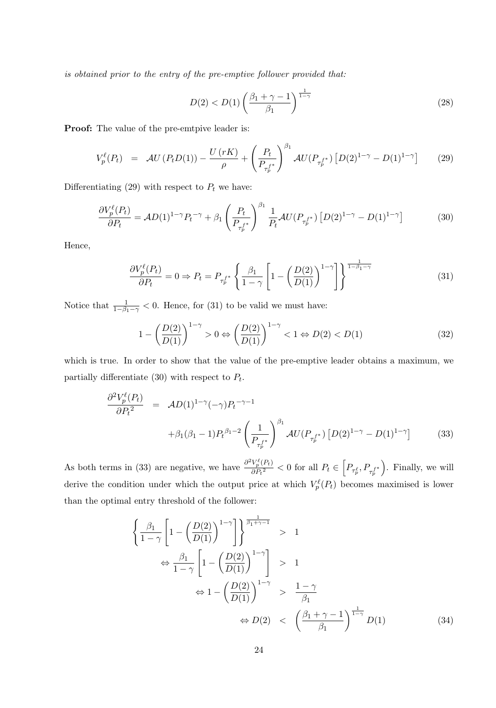is obtained prior to the entry of the pre-emptive follower provided that:

$$
D(2) < D(1) \left(\frac{\beta_1 + \gamma - 1}{\beta_1}\right)^{\frac{1}{1-\gamma}} \tag{28}
$$

Proof: The value of the pre-emtpive leader is:

$$
V_p^{\ell}(P_t) = \mathcal{A}U(P_tD(1)) - \frac{U(rK)}{\rho} + \left(\frac{P_t}{P_{\tau_p^{f*}}}\right)^{\beta_1} \mathcal{A}U(P_{\tau_p^{f*}}) \left[D(2)^{1-\gamma} - D(1)^{1-\gamma}\right] \tag{29}
$$

Differentiating (29) with respect to  $P_t$  we have:

$$
\frac{\partial V_p^{\ell}(P_t)}{\partial P_t} = \mathcal{A}D(1)^{1-\gamma}P_t^{-\gamma} + \beta_1 \left(\frac{P_t}{P_{\tau_p^{f*}}}\right)^{\beta_1} \frac{1}{P_t} \mathcal{A}U(P_{\tau_p^{f*}}) \left[D(2)^{1-\gamma} - D(1)^{1-\gamma}\right]
$$
(30)

Hence,

$$
\frac{\partial V_p^{\ell}(P_t)}{\partial P_t} = 0 \Rightarrow P_t = P_{\tau_p^{f^*}} \left\{ \frac{\beta_1}{1 - \gamma} \left[ 1 - \left( \frac{D(2)}{D(1)} \right)^{1 - \gamma} \right] \right\}^{\frac{1}{1 - \beta_1 - \gamma}} \tag{31}
$$

Notice that  $\frac{1}{1-\beta_1-\gamma} < 0$ . Hence, for (31) to be valid we must have:

$$
1 - \left(\frac{D(2)}{D(1)}\right)^{1-\gamma} > 0 \Leftrightarrow \left(\frac{D(2)}{D(1)}\right)^{1-\gamma} < 1 \Leftrightarrow D(2) < D(1) \tag{32}
$$

which is true. In order to show that the value of the pre-emptive leader obtains a maximum, we partially differentiate (30) with respect to  $P_t$ .

$$
\frac{\partial^2 V_p^{\ell}(P_t)}{\partial P_t^2} = \mathcal{A}D(1)^{1-\gamma}(-\gamma)P_t^{-\gamma-1} +\beta_1(\beta_1 - 1)P_t^{\beta_1 - 2} \left(\frac{1}{P_{\tau_p^{f*}}}\right)^{\beta_1} \mathcal{A}U(P_{\tau_p^{f*}}) \left[D(2)^{1-\gamma} - D(1)^{1-\gamma}\right] \tag{33}
$$

As both terms in (33) are negative, we have  $\frac{\partial^2 V_p^{\ell}(P_t)}{\partial P_t^2}$  $\frac{V_p^{\ell}(P_t)}{\partial P_t^2} < 0$  for all  $P_t \in \left[ P_{\tau_p^{\ell}}, P_{\tau_p^{\ell^*}} \right]$  . Finally, we will derive the condition under which the output price at which  $V_p^{\ell}(P_t)$  becomes maximised is lower than the optimal entry threshold of the follower:

$$
\left\{\frac{\beta_1}{1-\gamma}\left[1-\left(\frac{D(2)}{D(1)}\right)^{1-\gamma}\right]\right\}^{\frac{1}{\beta_1+\gamma-1}} > 1
$$
  
\n
$$
\Leftrightarrow \frac{\beta_1}{1-\gamma}\left[1-\left(\frac{D(2)}{D(1)}\right)^{1-\gamma}\right] > 1
$$
  
\n
$$
\Leftrightarrow 1-\left(\frac{D(2)}{D(1)}\right)^{1-\gamma} > \frac{1-\gamma}{\beta_1}
$$
  
\n
$$
\Leftrightarrow D(2) < \left(\frac{\beta_1+\gamma-1}{\beta_1}\right)^{\frac{1}{1-\gamma}}D(1)
$$
\n(34)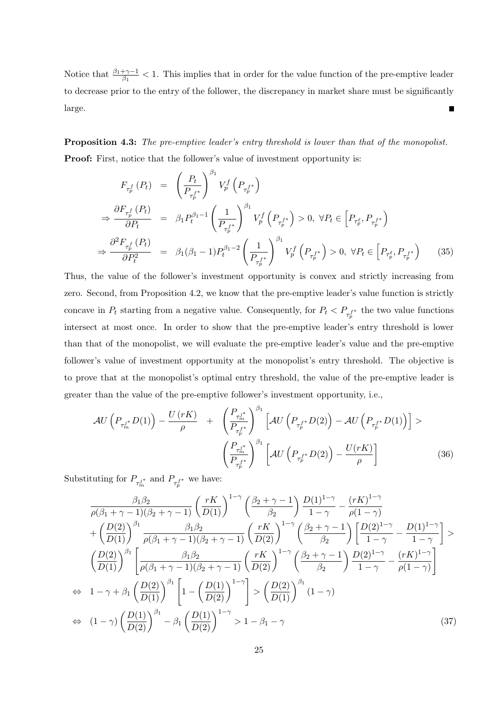Notice that  $\frac{\beta_1+\gamma-1}{\beta_1}$  < 1. This implies that in order for the value function of the pre-emptive leader to decrease prior to the entry of the follower, the discrepancy in market share must be significantly large. Е

**Proposition 4.3:** The pre-emptive leader's entry threshold is lower than that of the monopolist. **Proof:** First, notice that the follower's value of investment opportunity is:

$$
F_{\tau_p^f}(P_t) = \left(\frac{P_t}{P_{\tau_p^{f*}}}\right)^{\beta_1} V_p^f\left(P_{\tau_p^{f*}}\right)
$$
  
\n
$$
\Rightarrow \frac{\partial F_{\tau_p^f}(P_t)}{\partial P_t} = \beta_1 P_t^{\beta_1 - 1} \left(\frac{1}{P_{\tau_p^{f*}}}\right)^{\beta_1} V_p^f\left(P_{\tau_p^{f*}}\right) > 0, \ \forall P_t \in \left[P_{\tau_p^{\ell}}, P_{\tau_p^{f*}}\right)
$$
  
\n
$$
\Rightarrow \frac{\partial^2 F_{\tau_p^f}(P_t)}{\partial P_t^2} = \beta_1 (\beta_1 - 1) P_t^{\beta_1 - 2} \left(\frac{1}{P_{\tau_p^{f*}}}\right)^{\beta_1} V_p^f\left(P_{\tau_p^{f*}}\right) > 0, \ \forall P_t \in \left[P_{\tau_p^{\ell}}, P_{\tau_p^{f*}}\right)
$$
(35)

Thus, the value of the follower's investment opportunity is convex and strictly increasing from zero. Second, from Proposition 4.2, we know that the pre-emptive leader's value function is strictly concave in  $P_t$  starting from a negative value. Consequently, for  $P_t < P_{\tau_p^{f^*}}$  the two value functions intersect at most once. In order to show that the pre-emptive leader's entry threshold is lower than that of the monopolist, we will evaluate the pre-emptive leader's value and the pre-emptive follower's value of investment opportunity at the monopolist's entry threshold. The objective is to prove that at the monopolist's optimal entry threshold, the value of the pre-emptive leader is greater than the value of the pre-emptive follower's investment opportunity, i.e.,

$$
\mathcal{A}U\left(P_{\tau_m^{j*}}D(1)\right) - \frac{U\left(rK\right)}{\rho} + \left(\frac{P_{\tau_m^{j*}}}{P_{\tau_p^{f*}}}\right)^{\beta_1} \left[\mathcal{A}U\left(P_{\tau_p^{f*}}D(2)\right) - \mathcal{A}U\left(P_{\tau_p^{f*}}D(1)\right)\right] > \left(\frac{P_{\tau_m^{j*}}}{P_{\tau_p^{f*}}}\right)^{\beta_1} \left[\mathcal{A}U\left(P_{\tau_p^{f*}}D(2)\right) - \frac{U(rK)}{\rho}\right] \tag{36}
$$

Substituting for  $P_{\tau_{m}^{j^*}}$  and  $P_{\tau_{p}^{f^*}}$  we have:

⇒

$$
\frac{\beta_1 \beta_2}{\rho(\beta_1 + \gamma - 1)(\beta_2 + \gamma - 1)} \left(\frac{rK}{D(1)}\right)^{1-\gamma} \left(\frac{\beta_2 + \gamma - 1}{\beta_2}\right) \frac{D(1)^{1-\gamma}}{1-\gamma} - \frac{(rK)^{1-\gamma}}{\rho(1-\gamma)} \n+ \left(\frac{D(2)}{D(1)}\right)^{\beta_1} \frac{\beta_1 \beta_2}{\rho(\beta_1 + \gamma - 1)(\beta_2 + \gamma - 1)} \left(\frac{rK}{D(2)}\right)^{1-\gamma} \left(\frac{\beta_2 + \gamma - 1}{\beta_2}\right) \left[\frac{D(2)^{1-\gamma}}{1-\gamma} - \frac{D(1)^{1-\gamma}}{1-\gamma}\right] > \n\left(\frac{D(2)}{D(1)}\right)^{\beta_1} \left[\frac{\beta_1 \beta_2}{\rho(\beta_1 + \gamma - 1)(\beta_2 + \gamma - 1)} \left(\frac{rK}{D(2)}\right)^{1-\gamma} \left(\frac{\beta_2 + \gamma - 1}{\beta_2}\right) \frac{D(2)^{1-\gamma}}{1-\gamma} - \frac{(rK)^{1-\gamma}}{\rho(1-\gamma)}\right] \n\Leftrightarrow 1 - \gamma + \beta_1 \left(\frac{D(2)}{D(1)}\right)^{\beta_1} \left[1 - \left(\frac{D(1)}{D(2)}\right)^{1-\gamma}\right] > \left(\frac{D(2)}{D(1)}\right)^{\beta_1} (1-\gamma) \n\Leftrightarrow (1 - \gamma) \left(\frac{D(1)}{D(2)}\right)^{\beta_1} - \beta_1 \left(\frac{D(1)}{D(2)}\right)^{1-\gamma} > 1 - \beta_1 - \gamma
$$
\n(37)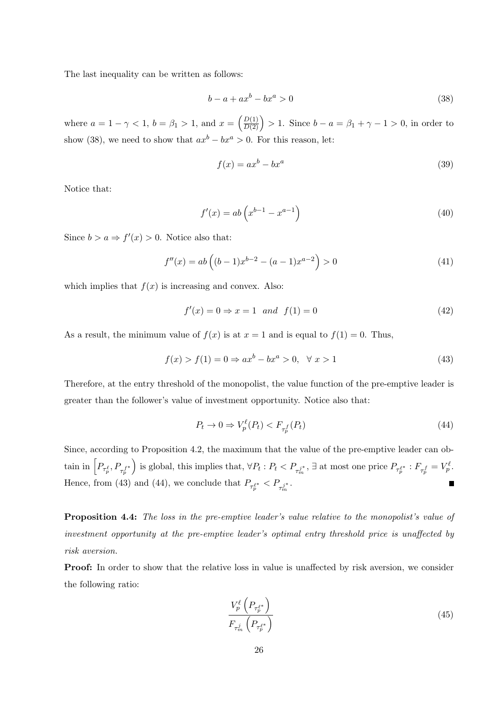The last inequality can be written as follows:

$$
b - a + ax^b - bx^a > 0 \tag{38}
$$

where  $a = 1 - \gamma < 1, b = \beta_1 > 1$ , and  $x = \left(\frac{D(1)}{D(2)}\right)$  $D(2)$  $\big) > 1.$  Since  $b - a = \beta_1 + \gamma - 1 > 0$ , in order to show (38), we need to show that  $ax^b - bx^a > 0$ . For this reason, let:

$$
f(x) = ax^b - bx^a \tag{39}
$$

Notice that:

$$
f'(x) = ab\left(x^{b-1} - x^{a-1}\right)
$$
\n(40)

Since  $b > a \Rightarrow f'(x) > 0$ . Notice also that:

$$
f''(x) = ab\left((b-1)x^{b-2} - (a-1)x^{a-2}\right) > 0\tag{41}
$$

which implies that  $f(x)$  is increasing and convex. Also:

$$
f'(x) = 0 \Rightarrow x = 1 \quad and \quad f(1) = 0 \tag{42}
$$

As a result, the minimum value of  $f(x)$  is at  $x = 1$  and is equal to  $f(1) = 0$ . Thus,

$$
f(x) > f(1) = 0 \Rightarrow ax^b - bx^a > 0, \quad \forall x > 1
$$
\n
$$
(43)
$$

Therefore, at the entry threshold of the monopolist, the value function of the pre-emptive leader is greater than the follower's value of investment opportunity. Notice also that:

$$
P_t \to 0 \Rightarrow V_p^{\ell}(P_t) < F_{\tau_p^f}(P_t) \tag{44}
$$

Since, according to Proposition 4.2, the maximum that the value of the pre-emptive leader can obtain in  $\left[P_{\tau_p^{\ell}},P_{\tau_p^{f^*}}\right]$ is global, this implies that,  $\forall P_t : P_t < P_{\tau_m^{j^*}}$ ,  $\exists$  at most one price  $P_{\tau_p^{\ell^*}} : F_{\tau_p^f} = V_p^{\ell}$ . Hence, from (43) and (44), we conclude that  $P_{\tau_p^{e^*}} < P_{\tau_m^{j^*}}$ .

Proposition 4.4: The loss in the pre-emptive leader's value relative to the monopolist's value of investment opportunity at the pre-emptive leader's optimal entry threshold price is unaffected by risk aversion.

**Proof:** In order to show that the relative loss in value is unaffected by risk aversion, we consider the following ratio:

$$
\frac{V_p^{\ell}\left(P_{\tau_p^{e*}}\right)}{F_{\tau_m^j}\left(P_{\tau_p^{e*}}\right)}
$$
\n
$$
\tag{45}
$$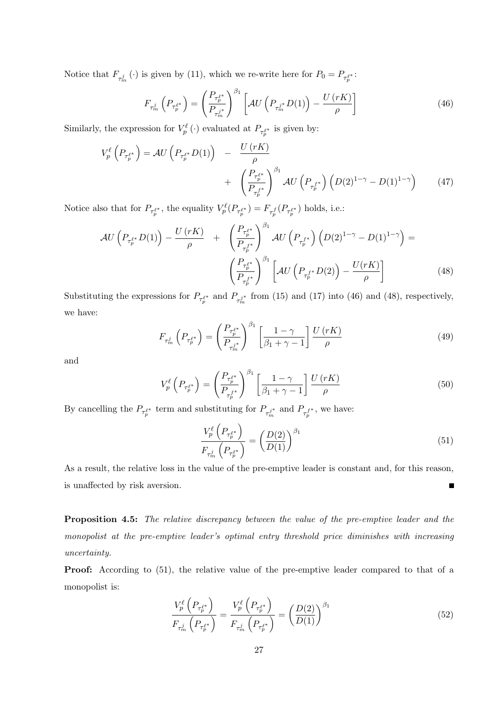Notice that  $F_{\tau_m^j}(\cdot)$  is given by (11), which we re-write here for  $P_0 = P_{\tau_p^{\ell^*}}$ :

$$
F_{\tau_m^j} \left( P_{\tau_p^{\ell^*}} \right) = \left( \frac{P_{\tau_p^{\ell^*}}}{P_{\tau_m^j}^*} \right)^{\beta_1} \left[ \mathcal{A} U \left( P_{\tau_m^j^*} D(1) \right) - \frac{U \left( rK \right)}{\rho} \right] \tag{46}
$$

Similarly, the expression for  $V_p^{\ell}(\cdot)$  evaluated at  $P_{\tau_p^{\ell^*}}$  is given by:

$$
V_p^{\ell}\left(P_{\tau_p^{\ell^*}}\right) = \mathcal{A}U\left(P_{\tau_p^{\ell^*}}D(1)\right) - \frac{U\left(rK\right)}{\rho} + \left(\frac{P_{\tau_p^{\ell^*}}}{P_{\tau_p^{\ell^*}}}\right)^{\beta_1} \mathcal{A}U\left(P_{\tau_p^{\ell^*}}\right)\left(D(2)^{1-\gamma} - D(1)^{1-\gamma}\right) \tag{47}
$$

Notice also that for  $P_{\tau_p^{\ell^*}}$ , the equality  $V_p^{\ell}(P_{\tau_p^{\ell^*}}) = F_{\tau_p^f}(P_{\tau_p^{\ell^*}})$  holds, i.e.:

$$
\mathcal{A}U\left(P_{\tau_p^{\ell^*}}D(1)\right) - \frac{U\left(rK\right)}{\rho} + \left(\frac{P_{\tau_p^{\ell^*}}}{P_{\tau_p^{\ell^*}}}\right)^{\beta_1} \mathcal{A}U\left(P_{\tau_p^{\ell^*}}\right)\left(D(2)^{1-\gamma} - D(1)^{1-\gamma}\right) = \left(\frac{P_{\tau_p^{\ell^*}}}{P_{\tau_p^{\ell^*}}}\right)^{\beta_1} \left[\mathcal{A}U\left(P_{\tau_p^{\ell^*}}D(2)\right) - \frac{U(rK)}{\rho}\right] \tag{48}
$$

Substituting the expressions for  $P_{\tau_p^{\ell^*}}$  and  $P_{\tau_m^{j^*}}$  from (15) and (17) into (46) and (48), respectively, we have:

$$
F_{\tau_m^j} \left( P_{\tau_p^{\ell^*}} \right) = \left( \frac{P_{\tau_p^{\ell^*}}}{P_{\tau_m^j}} \right)^{\beta_1} \left[ \frac{1 - \gamma}{\beta_1 + \gamma - 1} \right] \frac{U \left( rK \right)}{\rho} \tag{49}
$$

and

$$
V_p^{\ell}\left(P_{\tau_p^{\ell^*}}\right) = \left(\frac{P_{\tau_p^{\ell^*}}}{P_{\tau_p^{\ell^*}}}\right)^{\beta_1} \left[\frac{1-\gamma}{\beta_1+\gamma-1}\right] \frac{U\left(rK\right)}{\rho} \tag{50}
$$

By cancelling the  $P_{\tau_p^{\ell^*}}$  term and substituting for  $P_{\tau_m^{j^*}}$  and  $P_{\tau_p^{f^*}}$ , we have:

$$
\frac{V_p^{\ell}\left(P_{\tau_p^{\ell^*}}\right)}{F_{\tau_m^j}\left(P_{\tau_p^{\ell^*}}\right)} = \left(\frac{D(2)}{D(1)}\right)^{\beta_1} \tag{51}
$$

As a result, the relative loss in the value of the pre-emptive leader is constant and, for this reason, is unaffected by risk aversion.  $\blacksquare$ 

Proposition 4.5: The relative discrepancy between the value of the pre-emptive leader and the monopolist at the pre-emptive leader's optimal entry threshold price diminishes with increasing uncertainty.

Proof: According to  $(51)$ , the relative value of the pre-emptive leader compared to that of a monopolist is:

$$
\frac{V_p^{\ell}\left(P_{\tau_p^{\ell^*}}\right)}{F_{\tau_m^j}\left(P_{\tau_p^{\ell^*}}\right)} = \frac{V_p^{\ell}\left(P_{\tau_p^{\ell^*}}\right)}{F_{\tau_m^j}\left(P_{\tau_p^{\ell^*}}\right)} = \left(\frac{D(2)}{D(1)}\right)^{\beta_1}
$$
\n(52)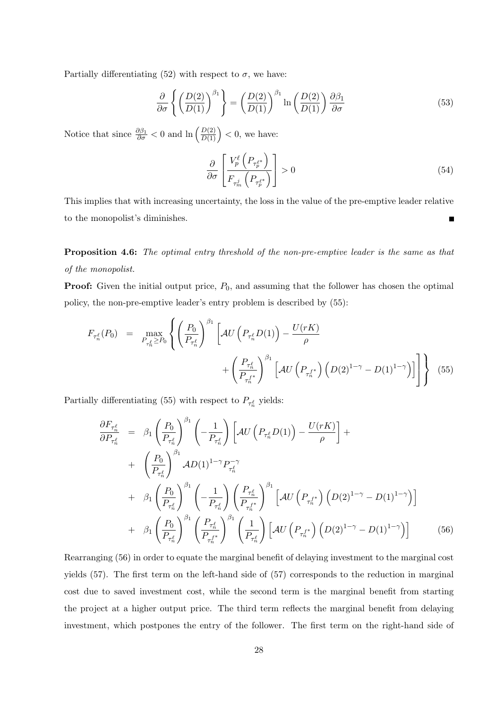Partially differentiating (52) with respect to  $\sigma$ , we have:

$$
\frac{\partial}{\partial \sigma} \left\{ \left( \frac{D(2)}{D(1)} \right)^{\beta_1} \right\} = \left( \frac{D(2)}{D(1)} \right)^{\beta_1} \ln \left( \frac{D(2)}{D(1)} \right) \frac{\partial \beta_1}{\partial \sigma} \tag{53}
$$

Notice that since  $\frac{\partial \beta_1}{\partial \sigma} < 0$  and  $\ln \left( \frac{D(2)}{D(1)} \right)$  $D(1)$  $\Big) < 0$ , we have:

$$
\frac{\partial}{\partial \sigma} \left[ \frac{V_p^{\ell} \left( P_{\tau_p^{\ell^*}} \right)}{F_{\tau_m^j} \left( P_{\tau_p^{\ell^*}} \right)} \right] > 0 \tag{54}
$$

This implies that with increasing uncertainty, the loss in the value of the pre-emptive leader relative to the monopolist's diminishes.

**Proposition 4.6:** The optimal entry threshold of the non-pre-emptive leader is the same as that of the monopolist.

**Proof:** Given the initial output price,  $P_0$ , and assuming that the follower has chosen the optimal policy, the non-pre-emptive leader's entry problem is described by (55):

$$
F_{\tau_n^{\ell}}(P_0) = \max_{P_{\tau_n^{\ell}} \ge P_0} \left\{ \left( \frac{P_0}{P_{\tau_n^{\ell}}} \right)^{\beta_1} \left[ \mathcal{A}U\left(P_{\tau_n^{\ell}}D(1)\right) - \frac{U(rK)}{\rho} + \left( \frac{P_{\tau_n^{\ell}}}{P_{\tau_n^{\ell}}} \right)^{\beta_1} \left[ \mathcal{A}U\left(P_{\tau_n^{\ell}}\right) \left(D(2)^{1-\gamma} - D(1)^{1-\gamma}\right) \right] \right\} \tag{55}
$$

Partially differentiating (55) with respect to  $P_{\tau_n^{\ell}}$  yields:

$$
\frac{\partial F_{\tau_n^{\ell}}}{\partial P_{\tau_n^{\ell}}} = \beta_1 \left( \frac{P_0}{P_{\tau_n^{\ell}}} \right)^{\beta_1} \left( -\frac{1}{P_{\tau_n^{\ell}}} \right) \left[ \mathcal{A} U \left( P_{\tau_n^{\ell}} D(1) \right) - \frac{U(rK)}{\rho} \right] + \n+ \left( \frac{P_0}{P_{\tau_n^{\ell}}} \right)^{\beta_1} \mathcal{A} D(1)^{1-\gamma} P_{\tau_n^{\ell}}^{-\gamma} \n+ \beta_1 \left( \frac{P_0}{P_{\tau_n^{\ell}}} \right)^{\beta_1} \left( -\frac{1}{P_{\tau_n^{\ell}}} \right) \left( \frac{P_{\tau_n^{\ell}}}{P_{\tau_n^{\ell}}} \right)^{\beta_1} \left[ \mathcal{A} U \left( P_{\tau_n^{\ell}} \right) \left( D(2)^{1-\gamma} - D(1)^{1-\gamma} \right) \right] \n+ \beta_1 \left( \frac{P_0}{P_{\tau_n^{\ell}}} \right)^{\beta_1} \left( \frac{P_{\tau_n^{\ell}}}{P_{\tau_n^{\ell}}} \right)^{\beta_1} \left( \frac{1}{P_{\tau_n^{\ell}}} \right) \left[ \mathcal{A} U \left( P_{\tau_n^{\ell}} \right) \left( D(2)^{1-\gamma} - D(1)^{1-\gamma} \right) \right] \tag{56}
$$

Rearranging (56) in order to equate the marginal benefit of delaying investment to the marginal cost yields (57). The first term on the left-hand side of (57) corresponds to the reduction in marginal cost due to saved investment cost, while the second term is the marginal benefit from starting the project at a higher output price. The third term reflects the marginal benefit from delaying investment, which postpones the entry of the follower. The first term on the right-hand side of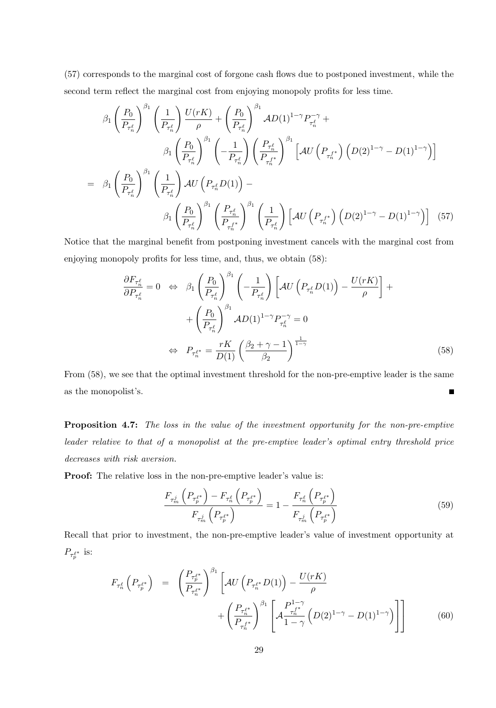(57) corresponds to the marginal cost of forgone cash flows due to postponed investment, while the second term reflect the marginal cost from enjoying monopoly profits for less time.

$$
\beta_{1} \left(\frac{P_{0}}{P_{\tau_{n}^{\ell}}}\right)^{\beta_{1}} \left(\frac{1}{P_{\tau_{n}^{\ell}}}\right) \frac{U(rK)}{\rho} + \left(\frac{P_{0}}{P_{\tau_{n}^{\ell}}}\right)^{\beta_{1}} AD(1)^{1-\gamma} P_{\tau_{n}^{\ell}}^{-\gamma} +
$$
\n
$$
\beta_{1} \left(\frac{P_{0}}{P_{\tau_{n}^{\ell}}}\right)^{\beta_{1}} \left(-\frac{1}{P_{\tau_{n}^{\ell}}}\right) \left(\frac{P_{\tau_{n}^{\ell}}}{P_{\tau_{n}^{\ell}}}\right)^{\beta_{1}} \left[AU\left(P_{\tau_{n}^{\ell}}\right)\left(D(2)^{1-\gamma} - D(1)^{1-\gamma}\right)\right]
$$
\n
$$
= \beta_{1} \left(\frac{P_{0}}{P_{\tau_{n}^{\ell}}}\right)^{\beta_{1}} \left(\frac{1}{P_{\tau_{n}^{\ell}}}\right) AU\left(P_{\tau_{n}^{\ell}} D(1)\right) -
$$
\n
$$
\beta_{1} \left(\frac{P_{0}}{P_{\tau_{n}^{\ell}}}\right)^{\beta_{1}} \left(\frac{P_{\tau_{n}^{\ell}}}{P_{\tau_{n}^{\ell}}}\right)^{\beta_{1}} \left(\frac{1}{P_{\tau_{n}^{\ell}}}\right) \left[AU\left(P_{\tau_{n}^{\ell}}\right)\left(D(2)^{1-\gamma} - D(1)^{1-\gamma}\right)\right] \tag{57}
$$

Notice that the marginal benefit from postponing investment cancels with the marginal cost from enjoying monopoly profits for less time, and, thus, we obtain (58):

$$
\frac{\partial F_{\tau_n^{\ell}}}{\partial P_{\tau_n^{\ell}}} = 0 \Leftrightarrow \beta_1 \left(\frac{P_0}{P_{\tau_n^{\ell}}}\right)^{\beta_1} \left(-\frac{1}{P_{\tau_n^{\ell}}}\right) \left[\mathcal{A}U\left(P_{\tau_n^{\ell}}D(1)\right) - \frac{U(rK)}{\rho}\right] + \left(\frac{P_0}{P_{\tau_n^{\ell}}}\right)^{\beta_1} \mathcal{A}D(1)^{1-\gamma} P_{\tau_n^{\ell}}^{-\gamma} = 0
$$
\n
$$
\Leftrightarrow P_{\tau_n^{\ell^*}} = \frac{rK}{D(1)} \left(\frac{\beta_2 + \gamma - 1}{\beta_2}\right)^{\frac{1}{1-\gamma}} \tag{58}
$$

From (58), we see that the optimal investment threshold for the non-pre-emptive leader is the same as the monopolist's.  $\blacksquare$ 

Proposition 4.7: The loss in the value of the investment opportunity for the non-pre-emptive leader relative to that of a monopolist at the pre-emptive leader's optimal entry threshold price decreases with risk aversion.

Proof: The relative loss in the non-pre-emptive leader's value is:

$$
\frac{F_{\tau_m^j} \left( P_{\tau_p^{\ell^*}} \right) - F_{\tau_n^{\ell}} \left( P_{\tau_p^{\ell^*}} \right)}{F_{\tau_m^j} \left( P_{\tau_p^{\ell^*}} \right)} = 1 - \frac{F_{\tau_n^{\ell}} \left( P_{\tau_p^{\ell^*}} \right)}{F_{\tau_m^j} \left( P_{\tau_p^{\ell^*}} \right)} \tag{59}
$$

Recall that prior to investment, the non-pre-emptive leader's value of investment opportunity at  $P_{\tau_p^{\ell^*}}$  is:

$$
F_{\tau_n^{\ell}}\left(P_{\tau_p^{\ell^*}}\right) = \left(\frac{P_{\tau_p^{\ell^*}}}{P_{\tau_n^{\ell^*}}}\right)^{\beta_1} \left[\mathcal{A}U\left(P_{\tau_n^{\ell^*}}D(1)\right) - \frac{U(rK)}{\rho} + \left(\frac{P_{\tau_n^{\ell^*}}}{P_{\tau_n^{\ell^*}}}\right)^{\beta_1} \left[\mathcal{A}\frac{P_{\tau_n^{\ell^*}}}{1-\gamma}\left(D(2)^{1-\gamma} - D(1)^{1-\gamma}\right)\right]\right]
$$
(60)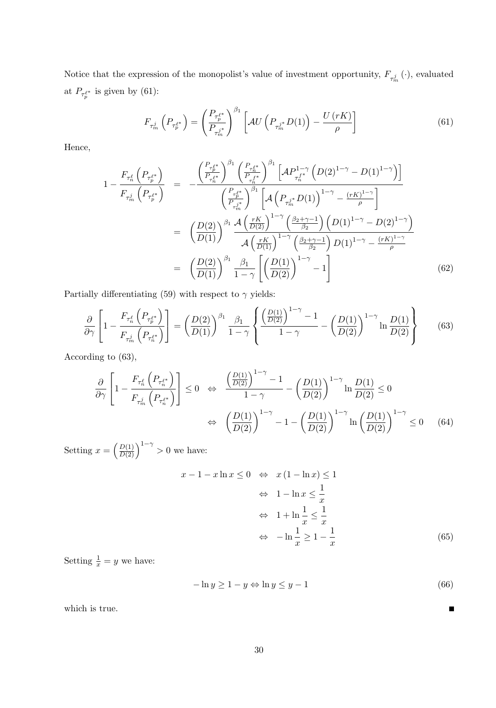Notice that the expression of the monopolist's value of investment opportunity,  $F_{\tau^j_m}(\cdot)$ , evaluated at  $P_{\tau_p^{\ell^*}}$  is given by (61):

$$
F_{\tau_m^j} \left( P_{\tau_p^{\ell^*}} \right) = \left( \frac{P_{\tau_p^{\ell^*}}}{P_{\tau_m^j}^*} \right)^{\beta_1} \left[ \mathcal{A} U \left( P_{\tau_m^j} \mathcal{D}(1) \right) - \frac{U \left( rK \right)}{\rho} \right] \tag{61}
$$

Hence,

$$
1 - \frac{F_{\tau_n^{\ell}}\left(P_{\tau_p^{\ell^*}}\right)}{F_{\tau_m^j}\left(P_{\tau_p^{\ell^*}}\right)} = -\frac{\left(\frac{P_{\tau_p^{\ell^*}}}{P_{\tau_n^{\ell^*}}}\right)^{\beta_1}\left(\frac{P_{\tau_n^{\ell^*}}}{P_{\tau_n^{\ell^*}}}\right)^{\beta_1}\left[\mathcal{A}\left(P_{\tau_n^{\ell^*}}D(1)\right)^{1-\gamma}-D(1)^{1-\gamma}\right]\right]}{\left(\frac{P_{\tau_p^{\ell^*}}}{P_{\tau_m^*}}\right)^{\beta_1}\left[\mathcal{A}\left(P_{\tau_m^{\ell^*}}D(1)\right)^{1-\gamma}-\frac{(rK)^{1-\gamma}}{\rho}\right]}
$$

$$
= \left(\frac{D(2)}{D(1)}\right)^{\beta_1}\frac{\mathcal{A}\left(\frac{rK}{D(2)}\right)^{1-\gamma}\left(\frac{\beta_2+\gamma-1}{\beta_2}\right)\left(D(1)^{1-\gamma}-D(2)^{1-\gamma}\right)}{\mathcal{A}\left(\frac{rK}{D(1)}\right)^{1-\gamma}\left(\frac{\beta_2+\gamma-1}{\beta_2}\right)D(1)^{1-\gamma}-\frac{(rK)^{1-\gamma}}{\rho}}
$$

$$
= \left(\frac{D(2)}{D(1)}\right)^{\beta_1}\frac{\beta_1}{1-\gamma}\left[\left(\frac{D(1)}{D(2)}\right)^{1-\gamma}-1\right] \tag{62}
$$

Partially differentiating (59) with respect to  $\gamma$  yields:

$$
\frac{\partial}{\partial \gamma} \left[ 1 - \frac{F_{\tau_n^{\ell}} \left( P_{\tau_p^{\ell^*}} \right)}{F_{\tau_m^j} \left( P_{\tau_n^{\ell^*}} \right)} \right] = \left( \frac{D(2)}{D(1)} \right)^{\beta_1} \frac{\beta_1}{1 - \gamma} \left\{ \frac{\left( \frac{D(1)}{D(2)} \right)^{1 - \gamma} - 1}{1 - \gamma} - \left( \frac{D(1)}{D(2)} \right)^{1 - \gamma} \ln \frac{D(1)}{D(2)} \right\} \tag{63}
$$

According to (63),

$$
\frac{\partial}{\partial \gamma} \left[ 1 - \frac{F_{\tau_n^{\ell}} \left( P_{\tau_n^{\ell^*}} \right)}{F_{\tau_m^j} \left( P_{\tau_n^{\ell^*}} \right)} \right] \le 0 \quad \Leftrightarrow \quad \frac{\left( \frac{D(1)}{D(2)} \right)^{1-\gamma} - 1}{1-\gamma} - \left( \frac{D(1)}{D(2)} \right)^{1-\gamma} \ln \frac{D(1)}{D(2)} \le 0
$$
\n
$$
\Leftrightarrow \quad \left( \frac{D(1)}{D(2)} \right)^{1-\gamma} - 1 - \left( \frac{D(1)}{D(2)} \right)^{1-\gamma} \ln \left( \frac{D(1)}{D(2)} \right)^{1-\gamma} \le 0 \quad (64)
$$

Setting  $x = \left(\frac{D(1)}{D(2)}\right)$  $D(2)$  $1^{-\gamma} > 0$  we have:

$$
x - 1 - x \ln x \le 0 \iff x(1 - \ln x) \le 1
$$
  
\n
$$
\iff 1 - \ln x \le \frac{1}{x}
$$
  
\n
$$
\iff 1 + \ln \frac{1}{x} \le \frac{1}{x}
$$
  
\n
$$
\iff -\ln \frac{1}{x} \ge 1 - \frac{1}{x}
$$
 (65)

Setting  $\frac{1}{x} = y$  we have:

$$
-\ln y \ge 1 - y \Leftrightarrow \ln y \le y - 1 \tag{66}
$$

 $\blacksquare$ 

which is true.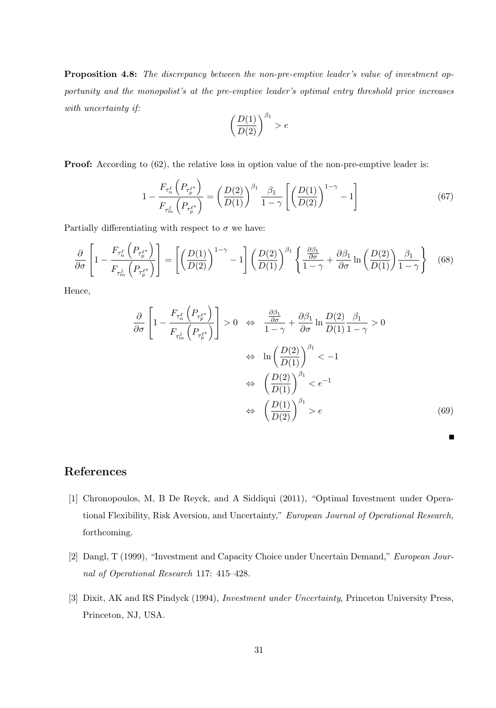Proposition 4.8: The discrepancy between the non-pre-emptive leader's value of investment opportunity and the monopolist's at the pre-emptive leader's optimal entry threshold price increases with uncertainty if:

$$
\left(\frac{D(1)}{D(2)}\right)^{\beta_1} > e
$$

**Proof:** According to (62), the relative loss in option value of the non-pre-emptive leader is:

$$
1 - \frac{F_{\tau_n^{\ell}}\left(P_{\tau_p^{\ell^*}}\right)}{F_{\tau_m^j}\left(P_{\tau_p^{\ell^*}}\right)} = \left(\frac{D(2)}{D(1)}\right)^{\beta_1} \frac{\beta_1}{1-\gamma} \left[\left(\frac{D(1)}{D(2)}\right)^{1-\gamma} - 1\right]
$$
(67)

Partially differentiating with respect to  $\sigma$  we have:

$$
\frac{\partial}{\partial \sigma} \left[ 1 - \frac{F_{\tau_n^{\ell}} \left( P_{\tau_p^{\ell^*}} \right)}{F_{\tau_m^j} \left( P_{\tau_p^{\ell^*}} \right)} \right] = \left[ \left( \frac{D(1)}{D(2)} \right)^{1-\gamma} - 1 \right] \left( \frac{D(2)}{D(1)} \right)^{\beta_1} \left\{ \frac{\frac{\partial \beta_1}{\partial \sigma}}{1-\gamma} + \frac{\partial \beta_1}{\partial \sigma} \ln \left( \frac{D(2)}{D(1)} \right) \frac{\beta_1}{1-\gamma} \right\} \tag{68}
$$

Hence,

$$
\frac{\partial}{\partial \sigma} \left[ 1 - \frac{F_{\tau_n^{\ell}} \left( P_{\tau_p^{\ell^*}} \right)}{F_{\tau_m^j} \left( P_{\tau_p^{\ell^*}} \right)} \right] > 0 \quad \Leftrightarrow \quad \frac{\frac{\partial \beta_1}{\partial \sigma}}{1 - \gamma} + \frac{\partial \beta_1}{\partial \sigma} \ln \frac{D(2)}{D(1)} \frac{\beta_1}{1 - \gamma} > 0
$$
\n
$$
\Leftrightarrow \ln \left( \frac{D(2)}{D(1)} \right)^{\beta_1} < -1
$$
\n
$$
\Leftrightarrow \left( \frac{D(2)}{D(1)} \right)^{\beta_1} < e^{-1}
$$
\n
$$
\Leftrightarrow \left( \frac{D(1)}{D(2)} \right)^{\beta_1} > e \tag{69}
$$

П

### References

- [1] Chronopoulos, M, B De Reyck, and A Siddiqui (2011), "Optimal Investment under Operational Flexibility, Risk Aversion, and Uncertainty," European Journal of Operational Research, forthcoming.
- [2] Dangl, T (1999), "Investment and Capacity Choice under Uncertain Demand," European Journal of Operational Research 117: 415–428.
- [3] Dixit, AK and RS Pindyck (1994), *Investment under Uncertainty*, Princeton University Press, Princeton, NJ, USA.